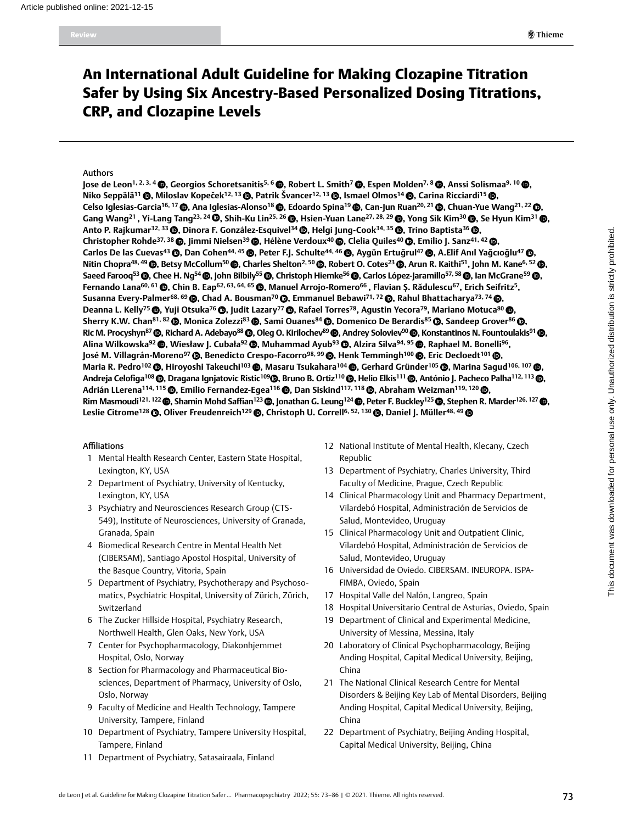# An International Adult Guideline for Making Clozapine Titration Safer by Using Six Ancestry-Based Personalized Dosing Titrations, CRP, and Clozapine Levels

#### Authors

**Jose de Leon<sup>1, 2, 3, 4 @. Georgios Schoretsanitis<sup>5, 6</sup> @. Robert L. Smith<sup>7</sup> @. Espen Molden<sup>7, 8</sup> @. Anssi Solismaa<sup>9, 10</sup> @.**</sup> **Niko Seppälä<sup>11</sup> ©, Miloslav Kopeček<sup>12, 13</sup> ©, Patrik Švancer<sup>12, 13</sup> ©, Ismael Olmos<sup>14</sup> ©, Carina Ricciardi<sup>15</sup> ©,** Celso Iglesias-Garcia<sup>16, 17</sup> (@, Ana Iglesias-Alonso<sup>18</sup> (@, Edoardo Spina<sup>19</sup> (@, Can-Jun Ruan<sup>20, 21</sup> (@, Chuan-Yue Wang<sup>21, 22</sup> (@, Gang Wang<sup>21</sup>, Yi-Lang Tang<sup>23, 24</sup> (@, Shih-Ku Lin<sup>25, 26</sup> (@, Hsien-Yuan Lane<sup>27, 28, 29</sup> (@, Yong Sik Kim<sup>30</sup> (@, Se Hyun Kim<sup>31</sup> (@, Anto P. Rajkumar<sup>32, 33</sup> (**D**, Dinora F. González-Esquivel<sup>34</sup> (**D**, Helgi Jung-Cook<sup>34, 35</sup> (**D**, Trino Baptista<sup>36</sup> (**D**, **Christopher Rohde<sup>37, 38</sup> ©, Jimmi Nielsen<sup>39</sup> ©, Hélène Verdoux<sup>40</sup> ©, Clelia Quiles<sup>40</sup> ©, Emilio J. Sanz<sup>41, 42</sup> ©, Carlos De las Cuevas<sup>43</sup> ©, Dan Cohen<sup>44, 45</sup> ©, Peter F.J. Schulte<sup>44, 46</sup> ©, Aygün Ertuğrul<sup>47</sup> ©, A.Elif Anıl Yağcıoğlu<sup>47</sup> ©, Nitin Chopra<sup>48, 49</sup> ©, Betsy McCollum<sup>50</sup> ©, Charles Shelton<sup>2, 50</sup> ©, Robert O. Cotes<sup>23</sup> ©, Arun R. Kaithi<sup>51</sup>, John M. Kane<sup>6, 52</sup> ©,** Saeed Farooq<sup>53</sup> ©, Chee H. Ng<sup>54</sup> ©, John Bilbily<sup>55</sup> ©, Christoph Hiemke<sup>56</sup> ©, Carlos López-Jaramillo<sup>57, 58</sup> ©, Ian McGrane<sup>59</sup> ©, **Fernando Lana60, 61 , Chin B. Eap62, 63, 64, 65 , Manuel Arrojo-Romero66 , Flavian Ş. Rădulescu67, Erich Seifritz5,**  Susanna Every-Palmer<sup>68, 69</sup> (**D**, Chad A. Bousman<sup>70</sup> (**D**, Emmanuel Bebawi<sup>71, 72</sup> (**D**, Rahul Bhattacharya<sup>73, 74</sup> (**D**, Deanna L. Kelly<sup>75</sup> (**D.** Yuji Otsuka<sup>76</sup> (**D.** Judit Lazary<sup>77</sup> (**D.** Rafael Torres<sup>78</sup>, Agustin Yecora<sup>79</sup>, Mariano Motuca<sup>80</sup> (**D.** Sherry K.W. Chan<sup>81, 82</sup> **©**, Monica Zolezzi<sup>83</sup> ©, Sami Ouanes<sup>84</sup> ©, Domenico De Berardis<sup>85</sup> ©, Sandeep Grover<sup>86</sup> ©, Ric M. Procyshyn<sup>87</sup> (D, Richard A. Adebayo<sup>88</sup> (D, Oleg O. Kirilochev<sup>89</sup> (D, Andrey Soloviev<sup>90</sup> (D, Konstantinos N. Fountoulakis<sup>91</sup> (D, Alina Wilkowska<sup>92</sup> (**D.** Wiesław J. Cubała<sup>92</sup> (**D.** Muhammad Ayub<sup>93</sup> (**D.** Alzira Silva<sup>94, 95</sup> (**D.** Raphael M. Bonelli<sup>96</sup>, José M. Villagrán-Moreno<sup>97</sup> (**D.** Benedicto Crespo-Facorro<sup>98, 99</sup> (**D.** Henk Temmingh<sup>100</sup> (**D.** Eric Decloedt<sup>101</sup> (**D. Maria R. Pedro<sup>102</sup> ©, Hiroyoshi Takeuchi<sup>103</sup> ©, Masaru Tsukahara<sup>104</sup> ©, Gerhard Gründer<sup>105</sup> ©, Marina Saqud<sup>106, 107</sup> ©,** Andreja Celofiga<sup>108</sup> (**D.** Dragana Ignjatovic Ristic<sup>109</sup> (**D.** Bruno B. Ortiz<sup>110</sup> (**D.** Helio Elkis<sup>111</sup> (**D.** António J. Pacheco Palha<sup>112, 113</sup> (**D.** Adrián LLerena<sup>114, 115</sup> (**D**, Emilio Fernandez-Egea<sup>116</sup> (**D**, Dan Siskind<sup>117, 118</sup> (**D**, Abraham Weizman<sup>119, 120 (**D**,</sup> **Rim Masmoudi<sup>121, 122 ©, Shamin Mohd Saffian<sup>123</sup> ©, Jonathan G. Leung<sup>124</sup> ©, Peter F. Buckley<sup>125</sup> ©, Stephen R. Marder<sup>126, 127</sup> ©,**</sup> Leslie Citrome<sup>128</sup> (**D**, Oliver Freudenreich<sup>129</sup> (**D**, Christoph U. Correll<sup>6, 52, 130 (**D**, Daniel J. Müller<sup>48, 49</sup> (**D**</sup>

#### Affiliations

- 1 Mental Health Research Center, Eastern State Hospital, Lexington, KY, USA
- 2 Department of Psychiatry, University of Kentucky, Lexington, KY, USA
- 3 Psychiatry and Neurosciences Research Group (CTS-549), Institute of Neurosciences, University of Granada, Granada, Spain
- 4 Biomedical Research Centre in Mental Health Net (CIBERSAM), Santiago Apostol Hospital, University of the Basque Country, Vitoria, Spain
- 5 Department of Psychiatry, Psychotherapy and Psychosomatics, Psychiatric Hospital, University of Zürich, Zürich, Switzerland
- 6 The Zucker Hillside Hospital, Psychiatry Research, Northwell Health, Glen Oaks, New York, USA
- 7 Center for Psychopharmacology, Diakonhjemmet Hospital, Oslo, Norway
- 8 Section for Pharmacology and Pharmaceutical Biosciences, Department of Pharmacy, University of Oslo, Oslo, Norway
- 9 Faculty of Medicine and Health Technology, Tampere University, Tampere, Finland
- 10 Department of Psychiatry, Tampere University Hospital, Tampere, Finland
- 11 Department of Psychiatry, Satasairaala, Finland
- 12 National Institute of Mental Health, Klecany, Czech Republic
- 13 Department of Psychiatry, Charles University, Third Faculty of Medicine, Prague, Czech Republic
- 14 Clinical Pharmacology Unit and Pharmacy Department, Vilardebó Hospital, Administración de Servicios de Salud, Montevideo, Uruguay
- 15 Clinical Pharmacology Unit and Outpatient Clinic, Vilardebó Hospital, Administración de Servicios de Salud, Montevideo, Uruguay
- 16 Universidad de Oviedo. CIBERSAM. INEUROPA. ISPA-FIMBA, Oviedo, Spain
- 17 Hospital Valle del Nalón, Langreo, Spain
- 18 Hospital Universitario Central de Asturias, Oviedo, Spain
- 19 Department of Clinical and Experimental Medicine, University of Messina, Messina, Italy
- 20 Laboratory of Clinical Psychopharmacology, Beijing Anding Hospital, Capital Medical University, Beijing, China
- 21 The National Clinical Research Centre for Mental Disorders & Beijing Key Lab of Mental Disorders, Beijing Anding Hospital, Capital Medical University, Beijing, China
- 22 Department of Psychiatry, Beijing Anding Hospital, Capital Medical University, Beijing, China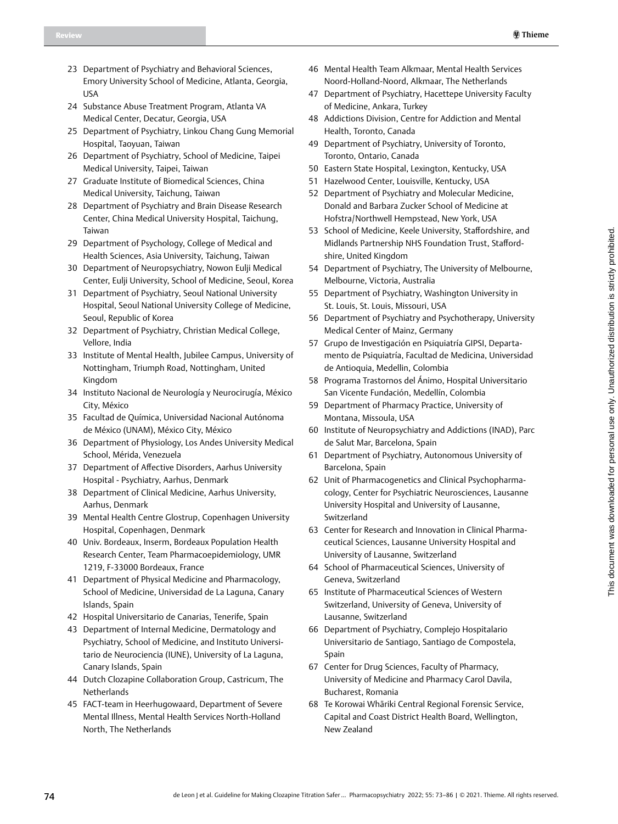- 23 Department of Psychiatry and Behavioral Sciences, Emory University School of Medicine, Atlanta, Georgia, USA
- 24 Substance Abuse Treatment Program, Atlanta VA Medical Center, Decatur, Georgia, USA
- 25 Department of Psychiatry, Linkou Chang Gung Memorial Hospital, Taoyuan, Taiwan
- 26 Department of Psychiatry, School of Medicine, Taipei Medical University, Taipei, Taiwan
- 27 Graduate Institute of Biomedical Sciences, China Medical University, Taichung, Taiwan
- 28 Department of Psychiatry and Brain Disease Research Center, China Medical University Hospital, Taichung, Taiwan
- 29 Department of Psychology, College of Medical and Health Sciences, Asia University, Taichung, Taiwan
- 30 Department of Neuropsychiatry, Nowon Eulji Medical Center, Eulji University, School of Medicine, Seoul, Korea
- 31 Department of Psychiatry, Seoul National University Hospital, Seoul National University College of Medicine, Seoul, Republic of Korea
- 32 Department of Psychiatry, Christian Medical College, Vellore, India
- 33 Institute of Mental Health, Jubilee Campus, University of Nottingham, Triumph Road, Nottingham, United Kingdom
- 34 Instituto Nacional de Neurología y Neurocirugía, México City, México
- 35 Facultad de Química, Universidad Nacional Autónoma de México (UNAM), México City, México
- 36 Department of Physiology, Los Andes University Medical School, Mérida, Venezuela
- 37 Department of Affective Disorders, Aarhus University Hospital - Psychiatry, Aarhus, Denmark
- 38 Department of Clinical Medicine, Aarhus University, Aarhus, Denmark
- 39 Mental Health Centre Glostrup, Copenhagen University Hospital, Copenhagen, Denmark
- 40 Univ. Bordeaux, Inserm, Bordeaux Population Health Research Center, Team Pharmacoepidemiology, UMR 1219, F-33000 Bordeaux, France
- 41 Department of Physical Medicine and Pharmacology, School of Medicine, Universidad de La Laguna, Canary Islands, Spain
- 42 Hospital Universitario de Canarias, Tenerife, Spain
- 43 Department of Internal Medicine, Dermatology and Psychiatry, School of Medicine, and Instituto Universitario de Neurociencia (IUNE), University of La Laguna, Canary Islands, Spain
- 44 Dutch Clozapine Collaboration Group, Castricum, The Netherlands
- 45 FACT-team in Heerhugowaard, Department of Severe Mental Illness, Mental Health Services North-Holland North, The Netherlands
- 46 Mental Health Team Alkmaar, Mental Health Services Noord-Holland-Noord, Alkmaar, The Netherlands
- 47 Department of Psychiatry, Hacettepe University Faculty of Medicine, Ankara, Turkey
- 48 Addictions Division, Centre for Addiction and Mental Health, Toronto, Canada
- 49 Department of Psychiatry, University of Toronto, Toronto, Ontario, Canada
- 50 Eastern State Hospital, Lexington, Kentucky, USA
- 51 Hazelwood Center, Louisville, Kentucky, USA
- 52 Department of Psychiatry and Molecular Medicine, Donald and Barbara Zucker School of Medicine at Hofstra/Northwell Hempstead, New York, USA
- 53 School of Medicine, Keele University, Staffordshire, and Midlands Partnership NHS Foundation Trust, Staffordshire, United Kingdom
- 54 Department of Psychiatry, The University of Melbourne, Melbourne, Victoria, Australia
- 55 Department of Psychiatry, Washington University in St. Louis, St. Louis, Missouri, USA
- 56 Department of Psychiatry and Psychotherapy, University Medical Center of Mainz, Germany
- 57 Grupo de Investigación en Psiquiatría GIPSI, Departamento de Psiquiatría, Facultad de Medicina, Universidad de Antioquia, Medellin, Colombia
- 58 Programa Trastornos del Ánimo, Hospital Universitario San Vicente Fundación, Medellín, Colombia
- 59 Department of Pharmacy Practice, University of Montana, Missoula, USA
- 60 Institute of Neuropsychiatry and Addictions (INAD), Parc de Salut Mar, Barcelona, Spain
- 61 Department of Psychiatry, Autonomous University of Barcelona, Spain
- 62 Unit of Pharmacogenetics and Clinical Psychopharmacology, Center for Psychiatric Neurosciences, Lausanne University Hospital and University of Lausanne, Switzerland
- 63 Center for Research and Innovation in Clinical Pharmaceutical Sciences, Lausanne University Hospital and University of Lausanne, Switzerland
- 64 School of Pharmaceutical Sciences, University of Geneva, Switzerland
- 65 Institute of Pharmaceutical Sciences of Western Switzerland, University of Geneva, University of Lausanne, Switzerland
- 66 Department of Psychiatry, Complejo Hospitalario Universitario de Santiago, Santiago de Compostela, Spain
- 67 Center for Drug Sciences, Faculty of Pharmacy, University of Medicine and Pharmacy Carol Davila, Bucharest, Romania
- 68 Te Korowai Whāriki Central Regional Forensic Service, Capital and Coast District Health Board, Wellington, New Zealand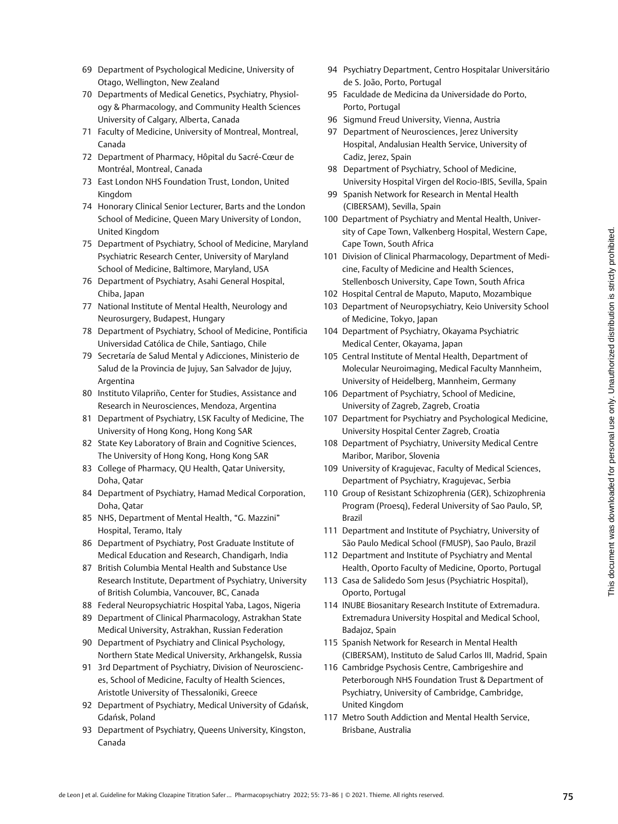- 69 Department of Psychological Medicine, University of Otago, Wellington, New Zealand
- 70 Departments of Medical Genetics, Psychiatry, Physiology & Pharmacology, and Community Health Sciences University of Calgary, Alberta, Canada
- 71 Faculty of Medicine, University of Montreal, Montreal, Canada
- 72 Department of Pharmacy, Hôpital du Sacré-Cœur de Montréal, Montreal, Canada
- 73 East London NHS Foundation Trust, London, United Kingdom
- 74 Honorary Clinical Senior Lecturer, Barts and the London School of Medicine, Queen Mary University of London, United Kingdom
- 75 Department of Psychiatry, School of Medicine, Maryland Psychiatric Research Center, University of Maryland School of Medicine, Baltimore, Maryland, USA
- 76 Department of Psychiatry, Asahi General Hospital, Chiba, Japan
- 77 National Institute of Mental Health, Neurology and Neurosurgery, Budapest, Hungary
- 78 Department of Psychiatry, School of Medicine, Pontificia Universidad Católica de Chile, Santiago, Chile
- 79 Secretaría de Salud Mental y Adicciones, Ministerio de Salud de la Provincia de Jujuy, San Salvador de Jujuy, Argentina
- 80 Instituto Vilapriño, Center for Studies, Assistance and Research in Neurosciences, Mendoza, Argentina
- 81 Department of Psychiatry, LSK Faculty of Medicine, The University of Hong Kong, Hong Kong SAR
- 82 State Key Laboratory of Brain and Cognitive Sciences, The University of Hong Kong, Hong Kong SAR
- 83 College of Pharmacy, QU Health, Qatar University, Doha, Qatar
- 84 Department of Psychiatry, Hamad Medical Corporation, Doha, Qatar
- 85 NHS, Department of Mental Health, "G. Mazzini" Hospital, Teramo, Italy
- 86 Department of Psychiatry, Post Graduate Institute of Medical Education and Research, Chandigarh, India
- 87 British Columbia Mental Health and Substance Use Research Institute, Department of Psychiatry, University of British Columbia, Vancouver, BC, Canada
- 88 Federal Neuropsychiatric Hospital Yaba, Lagos, Nigeria
- 89 Department of Clinical Pharmacology, Astrakhan State Medical University, Astrakhan, Russian Federation
- 90 Department of Psychiatry and Clinical Psychology, Northern State Medical University, Arkhangelsk, Russia
- 91 3rd Department of Psychiatry, Division of Neurosciences, School of Medicine, Faculty of Health Sciences, Aristotle University of Thessaloniki, Greece
- 92 Department of Psychiatry, Medical University of Gdańsk, Gdańsk, Poland
- 93 Department of Psychiatry, Queens University, Kingston, Canada
- 94 Psychiatry Department, Centro Hospitalar Universitário de S. João, Porto, Portugal
- 95 Faculdade de Medicina da Universidade do Porto, Porto, Portugal
- 96 Sigmund Freud University, Vienna, Austria
- 97 Department of Neurosciences, Jerez University Hospital, Andalusian Health Service, University of Cadiz, Jerez, Spain
- 98 Department of Psychiatry, School of Medicine, University Hospital Virgen del Rocio-IBIS, Sevilla, Spain
- 99 Spanish Network for Research in Mental Health (CIBERSAM), Sevilla, Spain
- 100 Department of Psychiatry and Mental Health, University of Cape Town, Valkenberg Hospital, Western Cape, Cape Town, South Africa
- 101 Division of Clinical Pharmacology, Department of Medicine, Faculty of Medicine and Health Sciences, Stellenbosch University, Cape Town, South Africa
- 102 Hospital Central de Maputo, Maputo, Mozambique
- 103 Department of Neuropsychiatry, Keio University School of Medicine, Tokyo, Japan
- 104 Department of Psychiatry, Okayama Psychiatric Medical Center, Okayama, Japan
- 105 Central Institute of Mental Health, Department of Molecular Neuroimaging, Medical Faculty Mannheim, University of Heidelberg, Mannheim, Germany
- 106 Department of Psychiatry, School of Medicine, University of Zagreb, Zagreb, Croatia
- 107 Department for Psychiatry and Psychological Medicine, University Hospital Center Zagreb, Croatia
- 108 Department of Psychiatry, University Medical Centre Maribor, Maribor, Slovenia
- 109 University of Kragujevac, Faculty of Medical Sciences, Department of Psychiatry, Kragujevac, Serbia
- 110 Group of Resistant Schizophrenia (GER), Schizophrenia Program (Proesq), Federal University of Sao Paulo, SP, Brazil
- 111 Department and Institute of Psychiatry, University of São Paulo Medical School (FMUSP), Sao Paulo, Brazil
- 112 Department and Institute of Psychiatry and Mental Health, Oporto Faculty of Medicine, Oporto, Portugal
- 113 Casa de Salidedo Som Jesus (Psychiatric Hospital), Oporto, Portugal
- 114 INUBE Biosanitary Research Institute of Extremadura. Extremadura University Hospital and Medical School, Badajoz, Spain
- 115 Spanish Network for Research in Mental Health (CIBERSAM), Instituto de Salud Carlos III, Madrid, Spain
- 116 Cambridge Psychosis Centre, Cambrigeshire and Peterborough NHS Foundation Trust & Department of Psychiatry, University of Cambridge, Cambridge, United Kingdom
- 117 Metro South Addiction and Mental Health Service, Brisbane, Australia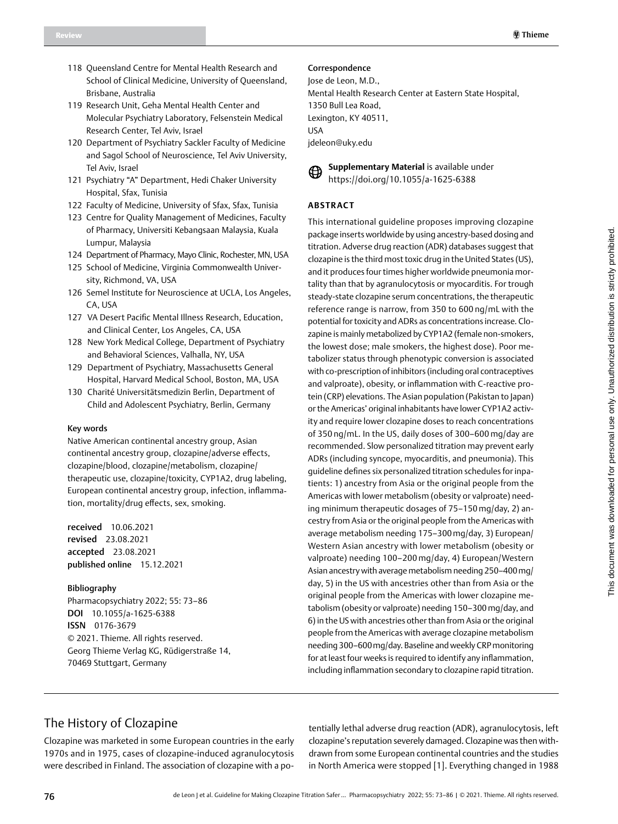- 118 Queensland Centre for Mental Health Research and School of Clinical Medicine, University of Queensland, Brisbane, Australia
- 119 Research Unit, Geha Mental Health Center and Molecular Psychiatry Laboratory, Felsenstein Medical Research Center, Tel Aviv, Israel
- 120 Department of Psychiatry Sackler Faculty of Medicine and Sagol School of Neuroscience, Tel Aviv University, Tel Aviv, Israel
- 121 Psychiatry "A" Department, Hedi Chaker University Hospital, Sfax, Tunisia
- 122 Faculty of Medicine, University of Sfax, Sfax, Tunisia
- 123 Centre for Quality Management of Medicines, Faculty of Pharmacy, Universiti Kebangsaan Malaysia, Kuala Lumpur, Malaysia
- 124 Department of Pharmacy, Mayo Clinic, Rochester, MN, USA
- 125 School of Medicine, Virginia Commonwealth University, Richmond, VA, USA
- 126 Semel Institute for Neuroscience at UCLA, Los Angeles, CA, USA
- 127 VA Desert Pacific Mental Illness Research, Education, and Clinical Center, Los Angeles, CA, USA
- 128 New York Medical College, Department of Psychiatry and Behavioral Sciences, Valhalla, NY, USA
- 129 Department of Psychiatry, Massachusetts General Hospital, Harvard Medical School, Boston, MA, USA
- 130 Charité Universitätsmedizin Berlin, Department of Child and Adolescent Psychiatry, Berlin, Germany

#### Key words

Native American continental ancestry group, Asian continental ancestry group, clozapine/adverse effects, clozapine/blood, clozapine/metabolism, clozapine/ therapeutic use, clozapine/toxicity, CYP1A2, drug labeling, European continental ancestry group, infection, inflammation, mortality/drug effects, sex, smoking.

received 10.06.2021 revised 23.08.2021 accepted 23.08.2021 published online 15.12.2021

#### Bibliography

Pharmacopsychiatry 2022; 55: 73–86 DOI [10.1055/a-1625-6388](https://doi.org/10.1055/a-1226-7257) ISSN 0176-3679 © 2021. Thieme. All rights reserved. Georg Thieme Verlag KG, Rüdigerstraße 14, 70469 Stuttgart, Germany

### Correspondence

Jose de Leon, M.D., Mental Health Research Center at Eastern State Hospital, 1350 Bull Lea Road, Lexington, KY 40511, USA jdeleon@uky.edu



**Supplementary Material** is available under https://doi.org/10.1055/a-1625-6388

## **Abstract**

This international guideline proposes improving clozapine package inserts worldwide by using ancestry-based dosing and titration. Adverse drug reaction (ADR) databases suggest that clozapine is the third most toxic drug in the United States (US), and it produces four times higher worldwide pneumonia mortality than that by agranulocytosis or myocarditis. For trough steady-state clozapine serum concentrations, the therapeutic reference range is narrow, from 350 to 600 ng/mL with the potential for toxicity and ADRs as concentrations increase. Clozapine is mainly metabolized by CYP1A2 (female non-smokers, the lowest dose; male smokers, the highest dose). Poor metabolizer status through phenotypic conversion is associated with co-prescription of inhibitors (including oral contraceptives and valproate), obesity, or inflammation with C-reactive protein (CRP) elevations. The Asian population (Pakistan to Japan) or the Americas' original inhabitants have lower CYP1A2 activity and require lower clozapine doses to reach concentrations of 350 ng/mL. In the US, daily doses of 300–600 mg/day are recommended. Slow personalized titration may prevent early ADRs (including syncope, myocarditis, and pneumonia). This guideline defines six personalized titration schedules for inpatients: 1) ancestry from Asia or the original people from the Americas with lower metabolism (obesity or valproate) needing minimum therapeutic dosages of 75–150 mg/day, 2) ancestry from Asia or the original people from the Americas with average metabolism needing 175–300mg/day, 3) European/ Western Asian ancestry with lower metabolism (obesity or valproate) needing 100–200 mg/day, 4) European/Western Asian ancestry with average metabolism needing 250–400mg/ day, 5) in the US with ancestries other than from Asia or the original people from the Americas with lower clozapine metabolism (obesity or valproate) needing 150–300mg/day, and 6) in the US with ancestries other than from Asia or the original people from the Americas with average clozapine metabolism needing 300–600mg/day. Baseline and weekly CRP monitoring for at least four weeks is required to identify any inflammation, including inflammation secondary to clozapine rapid titration.

# The History of Clozapine

Clozapine was marketed in some European countries in the early 1970s and in 1975, cases of clozapine-induced agranulocytosis were described in Finland. The association of clozapine with a potentially lethal adverse drug reaction (ADR), agranulocytosis, left clozapine's reputation severely damaged. Clozapine was then withdrawn from some European continental countries and the studies in North America were stopped [1]. Everything changed in 1988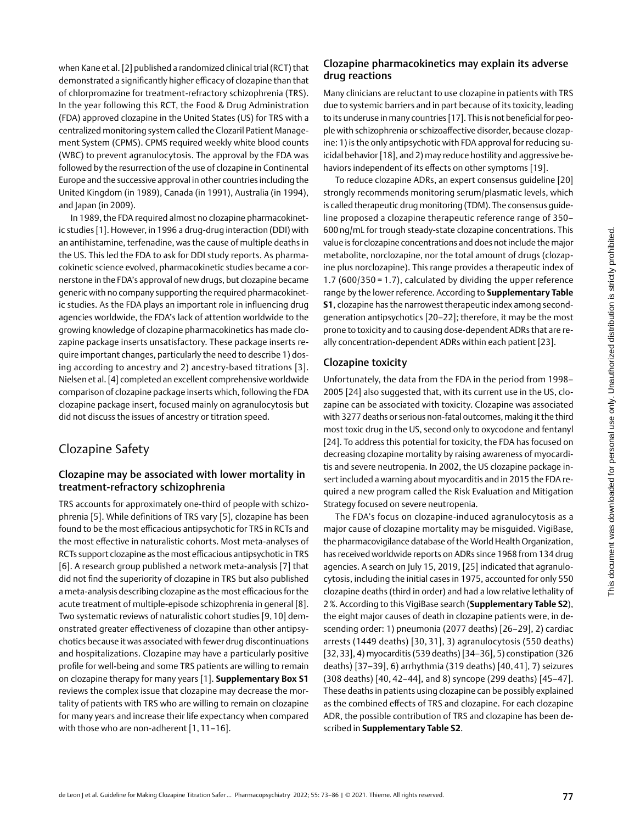when Kane et al. [2] published a randomized clinical trial (RCT) that demonstrated a significantly higher efficacy of clozapine than that of chlorpromazine for treatment-refractory schizophrenia (TRS). In the year following this RCT, the Food & Drug Administration (FDA) approved clozapine in the United States (US) for TRS with a centralized monitoring system called the Clozaril Patient Management System (CPMS). CPMS required weekly white blood counts (WBC) to prevent agranulocytosis. The approval by the FDA was followed by the resurrection of the use of clozapine in Continental Europe and the successive approval in other countries including the United Kingdom (in 1989), Canada (in 1991), Australia (in 1994), and Japan (in 2009).

In 1989, the FDA required almost no clozapine pharmacokinetic studies [1]. However, in 1996 a drug-drug interaction (DDI) with an antihistamine, terfenadine, was the cause of multiple deaths in the US. This led the FDA to ask for DDI study reports. As pharmacokinetic science evolved, pharmacokinetic studies became a cornerstone in the FDA's approval of new drugs, but clozapine became generic with no company supporting the required pharmacokinetic studies. As the FDA plays an important role in influencing drug agencies worldwide, the FDA's lack of attention worldwide to the growing knowledge of clozapine pharmacokinetics has made clozapine package inserts unsatisfactory. These package inserts require important changes, particularly the need to describe 1) dosing according to ancestry and 2) ancestry-based titrations [3]. Nielsen et al. [4] completed an excellent comprehensive worldwide comparison of clozapine package inserts which, following the FDA clozapine package insert, focused mainly on agranulocytosis but did not discuss the issues of ancestry or titration speed.

# Clozapine Safety

## Clozapine may be associated with lower mortality in treatment-refractory schizophrenia

TRS accounts for approximately one-third of people with schizophrenia [5]. While definitions of TRS vary [5], clozapine has been found to be the most efficacious antipsychotic for TRS in RCTs and the most effective in naturalistic cohorts. Most meta-analyses of RCTs support clozapine as the most efficacious antipsychotic in TRS [6]. A research group published a network meta-analysis [7] that did not find the superiority of clozapine in TRS but also published a meta-analysis describing clozapine as the most efficacious forthe acute treatment of multiple-episode schizophrenia in general [8]. Two systematic reviews of naturalistic cohort studies [9, 10] demonstrated greater effectiveness of clozapine than other antipsychotics because it was associated with fewer drug discontinuations and hospitalizations. Clozapine may have a particularly positive profile for well-being and some TRS patients are willing to remain on clozapine therapy for many years [1]. **Supplementary Box S1** reviews the complex issue that clozapine may decrease the mortality of patients with TRS who are willing to remain on clozapine for many years and increase their life expectancy when compared with those who are non-adherent [1, 11-16].

## Clozapine pharmacokinetics may explain its adverse drug reactions

Many clinicians are reluctant to use clozapine in patients with TRS due to systemic barriers and in part because of its toxicity, leading to its underuse in many countries [17]. This is not beneficial for people with schizophrenia or schizoaffective disorder, because clozapine: 1) is the only antipsychotic with FDA approval for reducing suicidal behavior [18], and 2) may reduce hostility and aggressive behaviors independent of its effects on other symptoms [19].

To reduce clozapine ADRs, an expert consensus guideline [20] strongly recommends monitoring serum/plasmatic levels, which is called therapeutic drug monitoring (TDM). The consensus guideline proposed a clozapine therapeutic reference range of 350– 600 ng/mL for trough steady-state clozapine concentrations. This value is for clozapine concentrations and does not include the major metabolite, norclozapine, nor the total amount of drugs (clozapine plus norclozapine). This range provides a therapeutic index of 1.7 (600/350 = 1.7), calculated by dividing the upper reference range by the lower reference. According to **Supplementary Table S1**, clozapine has the narrowest therapeutic index among secondgeneration antipsychotics [20–22]; therefore, it may be the most prone to toxicity and to causing dose-dependent ADRs that are really concentration-dependent ADRs within each patient [23].

## Clozapine toxicity

Unfortunately, the data from the FDA in the period from 1998– 2005 [24] also suggested that, with its current use in the US, clozapine can be associated with toxicity. Clozapine was associated with 3277 deaths or serious non-fatal outcomes, making it the third most toxic drug in the US, second only to oxycodone and fentanyl [24]. To address this potential for toxicity, the FDA has focused on decreasing clozapine mortality by raising awareness of myocarditis and severe neutropenia. In 2002, the US clozapine package insert included a warning about myocarditis and in 2015 the FDA required a new program called the Risk Evaluation and Mitigation Strategy focused on severe neutropenia.

The FDA's focus on clozapine-induced agranulocytosis as a major cause of clozapine mortality may be misguided. VigiBase, the pharmacovigilance database of the World Health Organization, has received worldwide reports on ADRs since 1968 from 134 drug agencies. A search on July 15, 2019, [25] indicated that agranulocytosis, including the initial cases in 1975, accounted for only 550 clozapine deaths (third in order) and had a low relative lethality of 2%. According to this VigiBase search (**Supplementary Table S2**), the eight major causes of death in clozapine patients were, in descending order: 1) pneumonia (2077 deaths) [26–29], 2) cardiac arrests (1449 deaths) [30, 31], 3) agranulocytosis (550 deaths) [32,33], 4) myocarditis (539 deaths) [34–36], 5) constipation (326 deaths) [37–39], 6) arrhythmia (319 deaths) [40, 41], 7) seizures (308 deaths) [40, 42–44], and 8) syncope (299 deaths) [45–47]. These deaths in patients using clozapine can be possibly explained as the combined effects of TRS and clozapine. For each clozapine ADR, the possible contribution of TRS and clozapine has been described in **Supplementary Table S2**.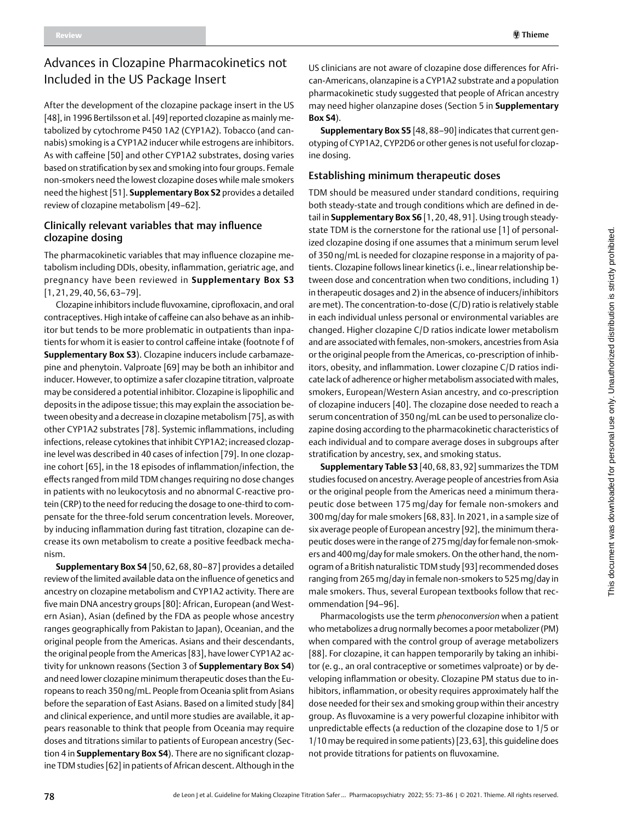#### Review **Thieme is a complete of the complete of the complete of the complete of the complete of the complete of the complete of the complete of the complete of the complete of the complete of the complete of the complete**

# Advances in Clozapine Pharmacokinetics not Included in the US Package Insert

After the development of the clozapine package insert in the US [48], in 1996 Bertilsson et al. [49] reported clozapine as mainly metabolized by cytochrome P450 1A2 (CYP1A2). Tobacco (and cannabis) smoking is a CYP1A2 inducer while estrogens are inhibitors. As with caffeine [50] and other CYP1A2 substrates, dosing varies based on stratification by sex and smoking into four groups. Female non-smokers need the lowest clozapine doses while male smokers need the highest [51]. **Supplementary Box S2** provides a detailed review of clozapine metabolism [49–62].

## Clinically relevant variables that may influence clozapine dosing

The pharmacokinetic variables that may influence clozapine metabolism including DDIs, obesity, inflammation, geriatric age, and pregnancy have been reviewed in **Supplementary Box S3**  [1, 21, 29, 40, 56, 63–79].

Clozapine inhibitors include fluvoxamine, ciprofloxacin, and oral contraceptives. High intake of caffeine can also behave as an inhibitor but tends to be more problematic in outpatients than inpatients for whom it is easier to control caffeine intake (footnote f of **Supplementary Box S3**). Clozapine inducers include carbamazepine and phenytoin. Valproate [69] may be both an inhibitor and inducer. However, to optimize a safer clozapine titration, valproate may be considered a potential inhibitor. Clozapine is lipophilic and deposits in the adipose tissue; this may explain the association between obesity and a decrease in clozapine metabolism [75], as with other CYP1A2 substrates [78]. Systemic inflammations, including infections, release cytokines that inhibit CYP1A2; increased clozapine level was described in 40 cases of infection [79]. In one clozapine cohort [65], in the 18 episodes of inflammation/infection, the effects ranged from mild TDM changes requiring no dose changes in patients with no leukocytosis and no abnormal C-reactive protein (CRP) to the need for reducing the dosage to one-third to compensate for the three-fold serum concentration levels. Moreover, by inducing inflammation during fast titration, clozapine can decrease its own metabolism to create a positive feedback mechanism.

**Supplementary Box S4** [50, 62, 68, 80–87] provides a detailed review of the limited available data on the influence of genetics and ancestry on clozapine metabolism and CYP1A2 activity. There are five main DNA ancestry groups [80]: African, European (and Western Asian), Asian (defined by the FDA as people whose ancestry ranges geographically from Pakistan to Japan), Oceanian, and the original people from the Americas. Asians and their descendants, the original people from the Americas [83], have lower CYP1A2 activity for unknown reasons (Section 3 of **Supplementary Box S4**) and need lower clozapine minimum therapeutic doses than the Europeans to reach 350ng/mL. People from Oceania split from Asians before the separation of East Asians. Based on a limited study [84] and clinical experience, and until more studies are available, it appears reasonable to think that people from Oceania may require doses and titrations similar to patients of European ancestry (Section 4 in **Supplementary Box S4**). There are no significant clozapine TDM studies [62] in patients of African descent. Although in the

US clinicians are not aware of clozapine dose differences for African-Americans, olanzapine is a CYP1A2 substrate and a population pharmacokinetic study suggested that people of African ancestry may need higher olanzapine doses (Section 5 in **Supplementary Box S4**).

**Supplementary Box S5** [48,88–90] indicates that current genotyping of CYP1A2, CYP2D6 or other genes is not useful for clozapine dosing.

## Establishing minimum therapeutic doses

TDM should be measured under standard conditions, requiring both steady-state and trough conditions which are defined in detail in **Supplementary Box S6** [1, 20, 48, 91]. Using trough steadystate TDM is the cornerstone for the rational use [1] of personalized clozapine dosing if one assumes that a minimum serum level of 350 ng/mL is needed for clozapine response in a majority of patients. Clozapine follows linear kinetics (i. e., linear relationship between dose and concentration when two conditions, including 1) in therapeutic dosages and 2) in the absence of inducers/inhibitors are met). The concentration-to-dose (C/D) ratio is relatively stable in each individual unless personal or environmental variables are changed. Higher clozapine C/D ratios indicate lower metabolism and are associated with females, non-smokers, ancestries from Asia or the original people from the Americas, co-prescription of inhibitors, obesity, and inflammation. Lower clozapine C/D ratios indicate lack of adherence or higher metabolism associated with males, smokers, European/Western Asian ancestry, and co-prescription of clozapine inducers [40]. The clozapine dose needed to reach a serum concentration of 350 ng/mL can be used to personalize clozapine dosing according to the pharmacokinetic characteristics of each individual and to compare average doses in subgroups after stratification by ancestry, sex, and smoking status.

**Supplementary Table S3** [40, 68, 83, 92] summarizes the TDM studies focused on ancestry. Average people of ancestries from Asia or the original people from the Americas need a minimum therapeutic dose between 175 mg/day for female non-smokers and 300mg/day for male smokers [68, 83]. In 2021, in a sample size of six average people of European ancestry [92], the minimum therapeutic doses were in the range of 275mg/day for female non-smokers and 400mg/day for male smokers. On the other hand, the nomogram of a British naturalistic TDM study [93] recommended doses ranging from 265mg/day in female non-smokers to 525mg/day in male smokers. Thus, several European textbooks follow that recommendation [94–96].

Pharmacologists use the term *phenoconversion* when a patient who metabolizes a drug normally becomes a poor metabolizer (PM) when compared with the control group of average metabolizers [88]. For clozapine, it can happen temporarily by taking an inhibitor (e. g., an oral contraceptive or sometimes valproate) or by developing inflammation or obesity. Clozapine PM status due to inhibitors, inflammation, or obesity requires approximately half the dose needed for their sex and smoking group within their ancestry group. As fluvoxamine is a very powerful clozapine inhibitor with unpredictable effects (a reduction of the clozapine dose to 1/5 or 1/10 may be required in some patients) [23,63], this guideline does not provide titrations for patients on fluvoxamine.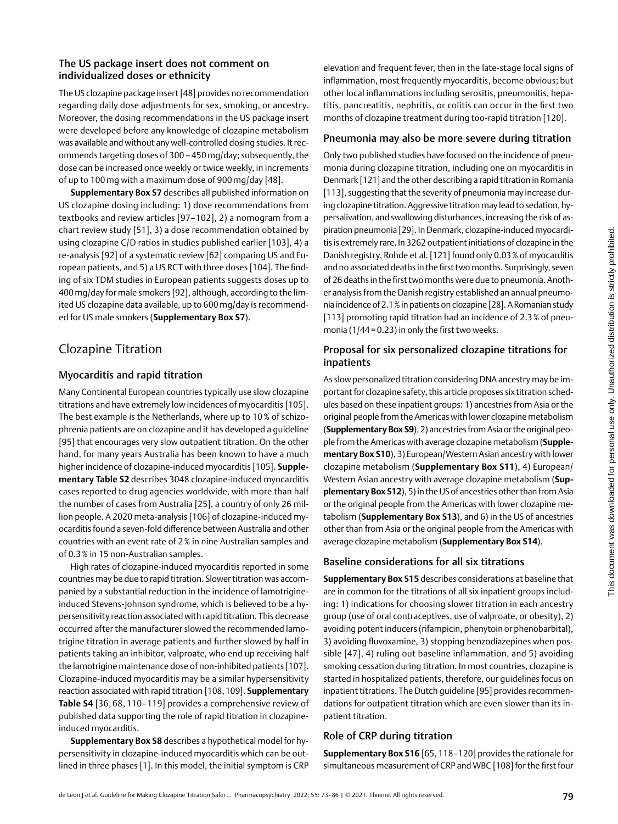## The US package insert does not comment on individualized doses or ethnicity

The US clozapine package insert [48] provides no recommendation regarding daily dose adjustments for sex, smoking, or ancestry. Moreover, the dosing recommendations in the US package insert were developed before any knowledge of clozapine metabolism was available and without any well-controlled dosing studies. It recommends targeting doses of 300 –450mg/day; subsequently, the dose can be increased once weekly or twice weekly, in increments of up to 100mg with a maximum dose of 900 mg/day [48].

**Supplementary Box S7** describes all published information on US clozapine dosing including: 1) dose recommendations from textbooks and review articles [97–102], 2) a nomogram from a chart review study [51], 3) a dose recommendation obtained by using clozapine C/D ratios in studies published earlier [103], 4) a re-analysis [92] of a systematic review [62] comparing US and European patients, and 5) a US RCT with three doses [104]. The finding of six TDM studies in European patients suggests doses up to 400mg/day for male smokers [92], although, according to the limited US clozapine data available, up to 600 mg/day is recommended for US male smokers (**Supplementary Box S7**).

# Clozapine Titration

## Myocarditis and rapid titration

Many Continental European countries typically use slow clozapine titrations and have extremely low incidences of myocarditis [105]. The best example is the Netherlands, where up to 10% of schizophrenia patients are on clozapine and it has developed a guideline [95] that encourages very slow outpatient titration. On the other hand, for many years Australia has been known to have a much higher incidence of clozapine-induced myocarditis [105]. **Supplementary Table S2** describes 3048 clozapine-induced myocarditis cases reported to drug agencies worldwide, with more than half the number of cases from Australia [25], a country of only 26 million people. A 2020 meta-analysis [106] of clozapine-induced myocarditis found a seven-fold difference between Australia and other countries with an event rate of 2% in nine Australian samples and of 0.3% in 15 non-Australian samples.

High rates of clozapine-induced myocarditis reported in some countries may be due to rapid titration. Slower titration was accompanied by a substantial reduction in the incidence of lamotrigineinduced Stevens-Johnson syndrome, which is believed to be a hypersensitivity reaction associated with rapid titration. This decrease occurred after the manufacturer slowed the recommended lamotrigine titration in average patients and further slowed by half in patients taking an inhibitor, valproate, who end up receiving half the lamotrigine maintenance dose of non-inhibited patients [107]. Clozapine-induced myocarditis may be a similar hypersensitivity reaction associated with rapid titration [108,109]. **Supplementary Table S4** [36, 68, 110–119] provides a comprehensive review of published data supporting the role of rapid titration in clozapineinduced myocarditis.

**Supplementary Box S8** describes a hypothetical model for hypersensitivity in clozapine-induced myocarditis which can be outlined in three phases [1]. In this model, the initial symptom is CRP elevation and frequent fever, then in the late-stage local signs of inflammation, most frequently myocarditis, become obvious; but other local inflammations including serositis, pneumonitis, hepatitis, pancreatitis, nephritis, or colitis can occur in the first two months of clozapine treatment during too-rapid titration [120].

#### Pneumonia may also be more severe during titration

Only two published studies have focused on the incidence of pneumonia during clozapine titration, including one on myocarditis in Denmark [121] and the other describing a rapid titration in Romania [113], suggesting that the severity of pneumonia may increase during clozapine titration. Aggressive titration may lead to sedation, hypersalivation, and swallowing disturbances, increasing the risk of aspiration pneumonia [29]. In Denmark, clozapine-induced myocarditis is extremely rare. In 3262 outpatient initiations of clozapine in the Danish registry, Rohde et al. [121] found only 0.03% of myocarditis and no associated deaths in the first two months. Surprisingly, seven of 26 deaths in the first two months were due to pneumonia. Another analysis from the Danish registry established an annual pneumonia incidence of 2.1% in patients on clozapine [28]. A Romanian study [113] promoting rapid titration had an incidence of 2.3% of pneumonia ( $1/44 = 0.23$ ) in only the first two weeks.

## Proposal for six personalized clozapine titrations for inpatients

As slow personalized titration considering DNA ancestry may be important for clozapine safety, this article proposes six titration schedules based on these inpatient groups: 1) ancestries from Asia or the original people from the Americas with lower clozapine metabolism (**Supplementary Box S9**), 2) ancestries from Asia or the original people from the Americas with average clozapine metabolism (**Supplementary Box S10**), 3) European/Western Asian ancestry with lower clozapine metabolism (**Supplementary Box S11**), 4) European/ Western Asian ancestry with average clozapine metabolism (**Supplementary Box S12**), 5) in the US of ancestries other than from Asia or the original people from the Americas with lower clozapine metabolism (**Supplementary Box S13**), and 6) in the US of ancestries other than from Asia or the original people from the Americas with average clozapine metabolism (**Supplementary Box S14**).

#### Baseline considerations for all six titrations

**Supplementary Box S15** describes considerations at baseline that are in common for the titrations of all six inpatient groups including: 1) indications for choosing slower titration in each ancestry group (use of oral contraceptives, use of valproate, or obesity), 2) avoiding potent inducers (rifampicin, phenytoin or phenobarbital), 3) avoiding fluvoxamine, 3) stopping benzodiazepines when possible [47], 4) ruling out baseline inflammation, and 5) avoiding smoking cessation during titration. In most countries, clozapine is started in hospitalized patients, therefore, our guidelines focus on inpatient titrations. The Dutch guideline [95] provides recommendations for outpatient titration which are even slower than its inpatient titration.

## Role of CRP during titration

**Supplementary Box S16** [65, 118–120] provides the rationale for simultaneous measurement of CRP and WBC [108] for the first four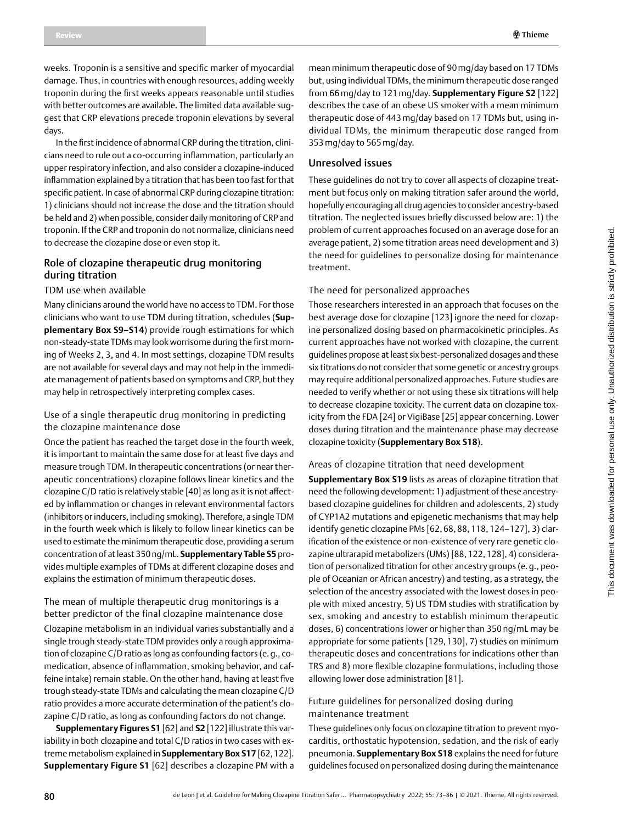weeks. Troponin is a sensitive and specific marker of myocardial damage. Thus, in countries with enough resources, adding weekly troponin during the first weeks appears reasonable until studies with better outcomes are available. The limited data available suggest that CRP elevations precede troponin elevations by several days.

In the first incidence of abnormal CRP during the titration, clinicians need to rule out a co-occurring inflammation, particularly an upper respiratory infection, and also consider a clozapine-induced inflammation explained by a titration that has been too fast for that specific patient. In case of abnormal CRP during clozapine titration: 1) clinicians should not increase the dose and the titration should be held and 2) when possible, consider daily monitoring of CRP and troponin. If the CRP and troponin do not normalize, clinicians need to decrease the clozapine dose or even stop it.

## Role of clozapine therapeutic drug monitoring during titration

#### TDM use when available

Many clinicians around the world have no access to TDM. For those clinicians who want to use TDM during titration, schedules (**Supplementary Box S9–S14**) provide rough estimations for which non-steady-state TDMs may look worrisome during the first morning of Weeks 2, 3, and 4. In most settings, clozapine TDM results are not available for several days and may not help in the immediate management of patients based on symptoms and CRP, but they may help in retrospectively interpreting complex cases.

#### Use of a single therapeutic drug monitoring in predicting the clozapine maintenance dose

Once the patient has reached the target dose in the fourth week, it is important to maintain the same dose for at least five days and measure trough TDM. In therapeutic concentrations (or near therapeutic concentrations) clozapine follows linear kinetics and the clozapine C/D ratio is relatively stable [40] as long as it is not affected by inflammation or changes in relevant environmental factors (inhibitors or inducers, including smoking). Therefore, a single TDM in the fourth week which is likely to follow linear kinetics can be used to estimate the minimum therapeutic dose, providing a serum concentration of at least 350ng/mL. **Supplementary Table S5** provides multiple examples of TDMs at different clozapine doses and explains the estimation of minimum therapeutic doses.

#### The mean of multiple therapeutic drug monitorings is a better predictor of the final clozapine maintenance dose

Clozapine metabolism in an individual varies substantially and a single trough steady-state TDM provides only a rough approximation of clozapine C/D ratio as long as confounding factors (e.g., comedication, absence of inflammation, smoking behavior, and caffeine intake) remain stable. On the other hand, having at least five trough steady-state TDMs and calculating the mean clozapine C/D ratio provides a more accurate determination of the patient's clozapine C/D ratio, as long as confounding factors do not change.

**Supplementary Figures S1** [62] and **S2** [122] illustrate this variability in both clozapine and total C/D ratios in two cases with extreme metabolism explained in **Supplementary Box S17** [62,122]. **Supplementary Figure S1** [62] describes a clozapine PM with a

mean minimum therapeutic dose of 90mg/day based on 17 TDMs but, using individual TDMs, the minimum therapeutic dose ranged from 66mg/day to 121mg/day. **Supplementary Figure S2** [122] describes the case of an obese US smoker with a mean minimum therapeutic dose of 443 mg/day based on 17 TDMs but, using individual TDMs, the minimum therapeutic dose ranged from 353mg/day to 565mg/day.

### Unresolved issues

These guidelines do not try to cover all aspects of clozapine treatment but focus only on making titration safer around the world, hopefully encouraging all drug agencies to consider ancestry-based titration. The neglected issues briefly discussed below are: 1) the problem of current approaches focused on an average dose for an average patient, 2) some titration areas need development and 3) the need for guidelines to personalize dosing for maintenance treatment.

#### The need for personalized approaches

Those researchers interested in an approach that focuses on the best average dose for clozapine [123] ignore the need for clozapine personalized dosing based on pharmacokinetic principles. As current approaches have not worked with clozapine, the current guidelines propose at least six best-personalized dosages and these six titrations do not consider that some genetic or ancestry groups may require additional personalized approaches. Future studies are needed to verify whether or not using these six titrations will help to decrease clozapine toxicity. The current data on clozapine toxicity from the FDA [24] or VigiBase [25] appear concerning. Lower doses during titration and the maintenance phase may decrease clozapine toxicity (**Supplementary Box S18**).

#### Areas of clozapine titration that need development

**Supplementary Box S19** lists as areas of clozapine titration that need the following development: 1) adjustment of these ancestrybased clozapine guidelines for children and adolescents, 2) study of CYP1A2 mutations and epigenetic mechanisms that may help identify genetic clozapine PMs [62, 68, 88, 118, 124–127], 3) clarification of the existence or non-existence of very rare genetic clozapine ultrarapid metabolizers (UMs) [88, 122, 128], 4) consideration of personalized titration for other ancestry groups (e. g., people of Oceanian or African ancestry) and testing, as a strategy, the selection of the ancestry associated with the lowest doses in people with mixed ancestry, 5) US TDM studies with stratification by sex, smoking and ancestry to establish minimum therapeutic doses, 6) concentrations lower or higher than 350 ng/mL may be appropriate for some patients [129, 130], 7) studies on minimum therapeutic doses and concentrations for indications other than TRS and 8) more flexible clozapine formulations, including those allowing lower dose administration [81].

#### Future guidelines for personalized dosing during maintenance treatment

These guidelines only focus on clozapine titration to prevent myocarditis, orthostatic hypotension, sedation, and the risk of early pneumonia. **Supplementary Box S18** explains the need for future guidelines focused on personalized dosing during the maintenance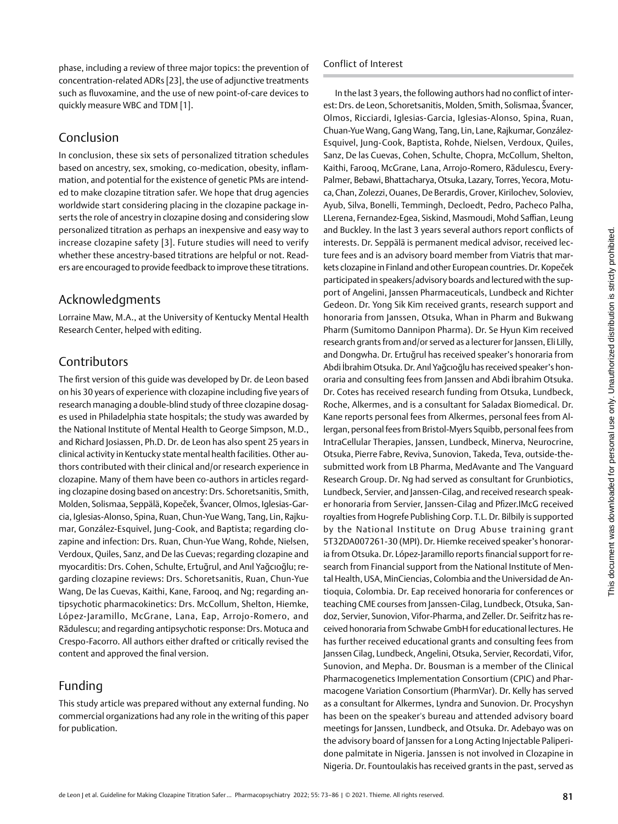phase, including a review of three major topics: the prevention of concentration-related ADRs [23], the use of adjunctive treatments such as fluvoxamine, and the use of new point-of-care devices to quickly measure WBC and TDM [1].

## Conclusion

In conclusion, these six sets of personalized titration schedules based on ancestry, sex, smoking, co-medication, obesity, inflammation, and potential for the existence of genetic PMs are intended to make clozapine titration safer. We hope that drug agencies worldwide start considering placing in the clozapine package inserts the role of ancestry in clozapine dosing and considering slow personalized titration as perhaps an inexpensive and easy way to increase clozapine safety [3]. Future studies will need to verify whether these ancestry-based titrations are helpful or not. Readers are encouraged to provide feedback to improve these titrations.

# Acknowledgments

Lorraine Maw, M.A., at the University of Kentucky Mental Health Research Center, helped with editing.

# Contributors

The first version of this guide was developed by Dr. de Leon based on his 30 years of experience with clozapine including five years of research managing a double-blind study of three clozapine dosages used in Philadelphia state hospitals; the study was awarded by the National Institute of Mental Health to George Simpson, M.D., and Richard Josiassen, Ph.D. Dr. de Leon has also spent 25 years in clinical activity in Kentucky state mental health facilities. Other authors contributed with their clinical and/or research experience in clozapine. Many of them have been co-authors in articles regarding clozapine dosing based on ancestry: Drs. Schoretsanitis, Smith, Molden, Solismaa, Seppälä, Kopeček, Švancer, Olmos, Iglesias-Garcia, Iglesias-Alonso, Spina, Ruan, Chun-Yue Wang, Tang, Lin, Rajkumar, González-Esquivel, Jung-Cook, and Baptista; regarding clozapine and infection: Drs. Ruan, Chun-Yue Wang, Rohde, Nielsen, Verdoux, Quiles, Sanz, and De las Cuevas; regarding clozapine and myocarditis: Drs. Cohen, Schulte, Ertuğrul, and Anıl Yağcıoğlu; regarding clozapine reviews: Drs. Schoretsanitis, Ruan, Chun-Yue Wang, De las Cuevas, Kaithi, Kane, Farooq, and Ng; regarding antipsychotic pharmacokinetics: Drs. McCollum, Shelton, Hiemke, López-Jaramillo, McGrane, Lana, Eap, Arrojo-Romero, and Rădulescu; and regarding antipsychotic response: Drs. Motuca and Crespo-Facorro. All authors either drafted or critically revised the content and approved the final version.

## Funding

This study article was prepared without any external funding. No commercial organizations had any role in the writing of this paper for publication.

## Conflict of Interest

In the last 3 years, the following authors had no conflict of interest:Drs. de Leon, Schoretsanitis, Molden, Smith, Solismaa, Švancer, Olmos, Ricciardi, Iglesias-Garcia, Iglesias-Alonso, Spina, Ruan, Chuan-Yue Wang, Gang Wang, Tang, Lin, Lane, Rajkumar, González-Esquivel, Jung-Cook, Baptista, Rohde, Nielsen, Verdoux, Quiles, Sanz, De las Cuevas, Cohen, Schulte, Chopra, McCollum, Shelton, Kaithi, Farooq, McGrane, Lana, Arrojo-Romero, Rădulescu, Every-Palmer, Bebawi, Bhattacharya, Otsuka, Lazary, Torres, Yecora, Motuca, Chan, Zolezzi, Ouanes, De Berardis, Grover, Kirilochev, Soloviev, Ayub, Silva, Bonelli, Temmingh, Decloedt, Pedro, Pacheco Palha, LLerena, Fernandez-Egea, Siskind, Masmoudi, Mohd Saffian, Leung and Buckley. In the last 3 years several authors report conflicts of interests. Dr. Seppälä is permanent medical advisor, received lecture fees and is an advisory board member from Viatris that markets clozapine in Finland and other European countries.Dr. Kopeček participated in speakers/advisory boards and lectured with the support of Angelini, Janssen Pharmaceuticals, Lundbeck and Richter Gedeon. Dr. Yong Sik Kim received grants, research support and honoraria from Janssen, Otsuka, Whan in Pharm and Bukwang Pharm (Sumitomo Dannipon Pharma). Dr. Se Hyun Kim received research grants from and/or served as a lecturer for Janssen, Eli Lilly, and Dongwha. Dr. Ertuğrul has received speaker's honoraria from Abdi İbrahim Otsuka.Dr. Anıl Yağcıoğlu has received speaker's honoraria and consulting fees from Janssen and Abdi İbrahim Otsuka. Dr. Cotes has received research funding from Otsuka, Lundbeck, Roche, Alkermes, and is a consultant for Saladax Biomedical. Dr. Kane reports personal fees from Alkermes, personal fees from Allergan, personal fees from Bristol-Myers Squibb, personal fees from IntraCellular Therapies, Janssen, Lundbeck, Minerva, Neurocrine, Otsuka, Pierre Fabre, Reviva, Sunovion, Takeda, Teva, outside-thesubmitted work from LB Pharma, MedAvante and The Vanguard Research Group. Dr. Ng had served as consultant for Grunbiotics, Lundbeck, Servier, and Janssen-Cilag, and received research speaker honoraria from Servier, Janssen-Cilag and Pfizer.IMcG received royalties from Hogrefe Publishing Corp. T.L. Dr. Bilbily is supported by the National Institute on Drug Abuse training grant 5T32DA007261-30 (MPI). Dr. Hiemke received speaker's honoraria from Otsuka. Dr. López-Jaramillo reports financial support for research from Financial support from the National Institute of Mental Health, USA, MinCiencias, Colombia and the Universidad de Antioquia, Colombia. Dr. Eap received honoraria for conferences or teaching CME courses from Janssen-Cilag, Lundbeck, Otsuka, Sandoz, Servier, Sunovion, Vifor-Pharma, and Zeller. Dr. Seifritz has received honoraria from Schwabe GmbH for educational lectures. He has further received educational grants and consulting fees from Janssen Cilag, Lundbeck, Angelini, Otsuka, Servier, Recordati, Vifor, Sunovion, and Mepha. Dr. Bousman is a member of the Clinical Pharmacogenetics Implementation Consortium (CPIC) and Pharmacogene Variation Consortium (PharmVar). Dr. Kelly has served as a consultant for Alkermes, Lyndra and Sunovion. Dr. Procyshyn has been on the speaker's bureau and attended advisory board meetings for Janssen, Lundbeck, and Otsuka. Dr. Adebayo was on the advisory board of Janssen for a Long Acting Injectable Paliperidone palmitate in Nigeria. Janssen is not involved in Clozapine in Nigeria. Dr. Fountoulakis has received grants in the past, served as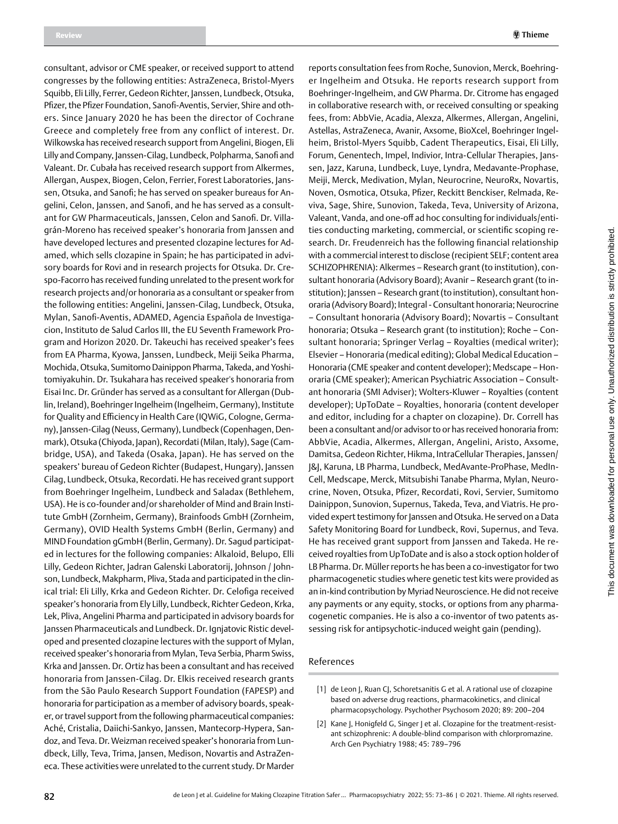consultant, advisor or CME speaker, or received support to attend congresses by the following entities: AstraZeneca, Bristol-Myers Squibb, Eli Lilly, Ferrer, Gedeon Richter, Janssen, Lundbeck, Otsuka, Pfizer, the Pfizer Foundation, Sanofi-Aventis, Servier, Shire and others. Since January 2020 he has been the director of Cochrane Greece and completely free from any conflict of interest. Dr. Wilkowska has received research support from Angelini, Biogen, Eli Lilly and Company, Janssen-Cilag, Lundbeck, Polpharma, Sanofi and Valeant. Dr. Cubała has received research support from Alkermes, Allergan, Auspex, Biogen, Celon, Ferrier, Forest Laboratories, Janssen, Otsuka, and Sanofi; he has served on speaker bureaus for Angelini, Celon, Janssen, and Sanofi, and he has served as a consultant for GW Pharmaceuticals, Janssen, Celon and Sanofi. Dr. Villagrán-Moreno has received speaker's honoraria from Janssen and have developed lectures and presented clozapine lectures for Adamed, which sells clozapine in Spain; he has participated in advisory boards for Rovi and in research projects for Otsuka. Dr. Crespo-Facorro has received funding unrelated to the present work for research projects and/or honoraria as a consultant or speaker from the following entities: Angelini, Janssen-Cilag, Lundbeck, Otsuka, Mylan, Sanofi-Aventis, ADAMED, Agencia Española de Investigacion, Instituto de Salud Carlos III, the EU Seventh Framework Program and Horizon 2020. Dr. Takeuchi has received speaker's fees from EA Pharma, Kyowa, Janssen, Lundbeck, Meiji Seika Pharma, Mochida, Otsuka, Sumitomo Dainippon Pharma, Takeda, and Yoshitomiyakuhin. Dr. Tsukahara has received speaker's honoraria from Eisai Inc. Dr. Gründer has served as a consultant for Allergan (Dublin, Ireland), Boehringer Ingelheim (Ingelheim, Germany), Institute for Quality and Efficiency in Health Care (IQWiG, Cologne, Germany), Janssen-Cilag (Neuss, Germany), Lundbeck (Copenhagen, Denmark), Otsuka (Chiyoda, Japan), Recordati (Milan, Italy), Sage (Cambridge, USA), and Takeda (Osaka, Japan). He has served on the speakers' bureau of Gedeon Richter (Budapest, Hungary), Janssen Cilag, Lundbeck, Otsuka, Recordati. He has received grant support from Boehringer Ingelheim, Lundbeck and Saladax (Bethlehem, USA). He is co-founder and/or shareholder of Mind and Brain Institute GmbH (Zornheim, Germany), Brainfoods GmbH (Zornheim, Germany), OVID Health Systems GmbH (Berlin, Germany) and MIND Foundation gGmbH (Berlin, Germany). Dr. Sagud participated in lectures for the following companies: Alkaloid, Belupo, Elli Lilly, Gedeon Richter, Jadran Galenski Laboratorij, Johnson / Johnson, Lundbeck, Makpharm, Pliva, Stada and participated in the clinical trial: Eli Lilly, Krka and Gedeon Richter. Dr. Celofiga received speaker's honoraria from Ely Lilly, Lundbeck, Richter Gedeon, Krka, Lek, Pliva, Angelini Pharma and participated in advisory boards for Janssen Pharmaceuticals and Lundbeck. Dr. Ignjatovic Ristic developed and presented clozapine lectures with the support of Mylan, received speaker's honoraria from Mylan, Teva Serbia, Pharm Swiss, Krka and Janssen. Dr. Ortiz has been a consultant and has received honoraria from Janssen-Cilag. Dr. Elkis received research grants from the São Paulo Research Support Foundation (FAPESP) and honoraria for participation as a member of advisory boards, speaker, or travel support from the following pharmaceutical companies: Aché, Cristalia, Daiichi-Sankyo, Janssen, Mantecorp-Hypera, Sandoz, and Teva.Dr. Weizman received speaker's honoraria from Lundbeck, Lilly, Teva, Trima, Jansen, Medison, Novartis and AstraZeneca. These activities were unrelated to the current study. Dr Marder

reports consultation fees from Roche, Sunovion, Merck, Boehringer Ingelheim and Otsuka. He reports research support from Boehringer-Ingelheim, and GW Pharma. Dr. Citrome has engaged in collaborative research with, or received consulting or speaking fees, from: AbbVie, Acadia, Alexza, Alkermes, Allergan, Angelini, Astellas, AstraZeneca, Avanir, Axsome, BioXcel, Boehringer Ingelheim, Bristol-Myers Squibb, Cadent Therapeutics, Eisai, Eli Lilly, Forum, Genentech, Impel, Indivior, Intra-Cellular Therapies, Janssen, Jazz, Karuna, Lundbeck, Luye, Lyndra, Medavante-Prophase, Meiji, Merck, Medivation, Mylan, Neurocrine, NeuroRx, Novartis, Noven, Osmotica, Otsuka, Pfizer, Reckitt Benckiser, Relmada, Reviva, Sage, Shire, Sunovion, Takeda, Teva, University of Arizona, Valeant, Vanda, and one-off ad hoc consulting for individuals/entities conducting marketing, commercial, or scientific scoping research. Dr. Freudenreich has the following financial relationship with a commercial interest to disclose (recipient SELF; content area SCHIZOPHRENIA): Alkermes – Research grant (to institution), consultant honoraria (Advisory Board); Avanir – Research grant (to institution); Janssen – Research grant (to institution), consultant honoraria (Advisory Board); Integral - Consultant honoraria; Neurocrine – Consultant honoraria (Advisory Board); Novartis – Consultant honoraria; Otsuka – Research grant (to institution); Roche – Consultant honoraria; Springer Verlag – Royalties (medical writer); Elsevier – Honoraria (medical editing); Global Medical Education – Honoraria (CME speaker and content developer); Medscape – Honoraria (CME speaker); American Psychiatric Association – Consultant honoraria (SMI Adviser); Wolters-Kluwer – Royalties (content developer); UpToDate – Royalties, honoraria (content developer and editor, including for a chapter on clozapine). Dr. Correll has been a consultant and/or advisor to or has received honoraria from: AbbVie, Acadia, Alkermes, Allergan, Angelini, Aristo, Axsome, Damitsa, Gedeon Richter, Hikma, IntraCellular Therapies, Janssen/ J&J, Karuna, LB Pharma, Lundbeck, MedAvante-ProPhase, MedIn-Cell, Medscape, Merck, Mitsubishi Tanabe Pharma, Mylan, Neurocrine, Noven, Otsuka, Pfizer, Recordati, Rovi, Servier, Sumitomo Dainippon, Sunovion, Supernus, Takeda, Teva, and Viatris. He provided expert testimony for Janssen and Otsuka. He served on a Data Safety Monitoring Board for Lundbeck, Rovi, Supernus, and Teva. He has received grant support from Janssen and Takeda. He received royalties from UpToDate and is also a stock option holder of LB Pharma. Dr. Müller reports he has been a co-investigator for two pharmacogenetic studies where genetic test kits were provided as an in-kind contribution by Myriad Neuroscience. He did not receive any payments or any equity, stocks, or options from any pharmacogenetic companies. He is also a co-inventor of two patents assessing risk for antipsychotic-induced weight gain (pending).

#### References

- [1] de Leon J, Ruan CJ, Schoretsanitis G et al. A rational use of clozapine based on adverse drug reactions, pharmacokinetics, and clinical pharmacopsychology. Psychother Psychosom 2020; 89: 200–204
- [2] Kane J, Honigfeld G, Singer J et al. Clozapine for the treatment-resistant schizophrenic: A double-blind comparison with chlorpromazine. Arch Gen Psychiatry 1988; 45: 789–796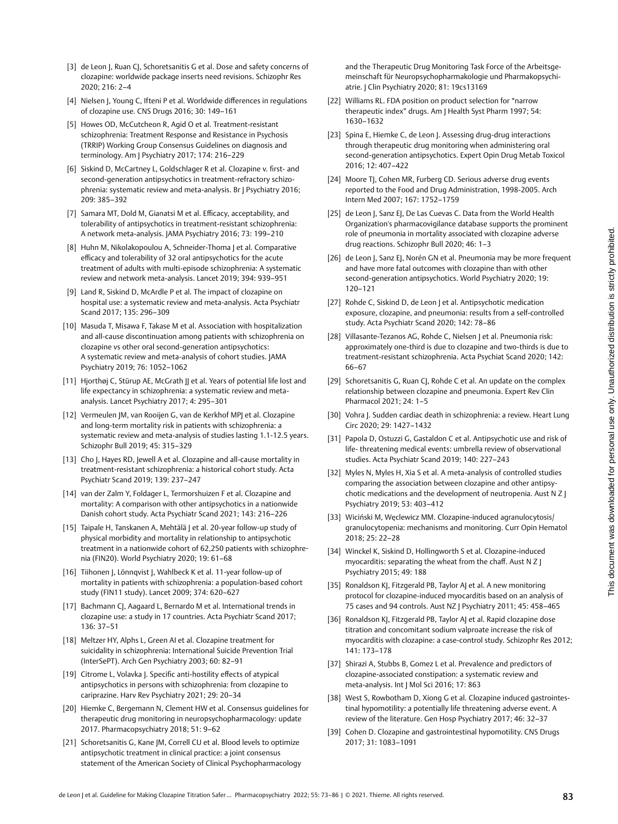- [3] de Leon J, Ruan CJ, Schoretsanitis G et al. Dose and safety concerns of clozapine: worldwide package inserts need revisions. Schizophr Res 2020; 216: 2–4
- [4] Nielsen J, Young C, Ifteni P et al. Worldwide differences in regulations of clozapine use. CNS Drugs 2016; 30: 149–161
- [5] Howes OD, McCutcheon R, Agid O et al. Treatment-resistant schizophrenia: Treatment Response and Resistance in Psychosis (TRRIP) Working Group Consensus Guidelines on diagnosis and terminology. Am J Psychiatry 2017; 174: 216–229
- [6] Siskind D, McCartney L, Goldschlager R et al. Clozapine v. first- and second-generation antipsychotics in treatment-refractory schizophrenia: systematic review and meta-analysis. Br J Psychiatry 2016; 209: 385–392
- [7] Samara MT, Dold M, Gianatsi M et al. Efficacy, acceptability, and tolerability of antipsychotics in treatment-resistant schizophrenia: A network meta-analysis. JAMA Psychiatry 2016; 73: 199–210
- [8] Huhn M, Nikolakopoulou A, Schneider-Thoma J et al. Comparative efficacy and tolerability of 32 oral antipsychotics for the acute treatment of adults with multi-episode schizophrenia: A systematic review and network meta-analysis. Lancet 2019; 394: 939–951
- [9] Land R, Siskind D, McArdle P et al. The impact of clozapine on hospital use: a systematic review and meta-analysis. Acta Psychiatr Scand 2017; 135: 296–309
- [10] Masuda T, Misawa F, Takase M et al. Association with hospitalization and all-cause discontinuation among patients with schizophrenia on clozapine vs other oral second-generation antipsychotics: A systematic review and meta-analysis of cohort studies. JAMA Psychiatry 2019; 76: 1052–1062
- [11] Hjorthøj C, Stürup AE, McGrath JJ et al. Years of potential life lost and life expectancy in schizophrenia: a systematic review and metaanalysis. Lancet Psychiatry 2017; 4: 295–301
- [12] Vermeulen JM, van Rooijen G, van de Kerkhof MPJ et al. Clozapine and long-term mortality risk in patients with schizophrenia: a systematic review and meta-analysis of studies lasting 1.1-12.5 years. Schizophr Bull 2019; 45: 315–329
- [13] Cho J, Hayes RD, Jewell A et al. Clozapine and all-cause mortality in treatment-resistant schizophrenia: a historical cohort study. Acta Psychiatr Scand 2019; 139: 237–247
- [14] van der Zalm Y, Foldager L, Termorshuizen F et al. Clozapine and mortality: A comparison with other antipsychotics in a nationwide Danish cohort study. Acta Psychiatr Scand 2021; 143: 216–226
- [15] Taipale H, Tanskanen A, Mehtälä J et al. 20-year follow-up study of physical morbidity and mortality in relationship to antipsychotic treatment in a nationwide cohort of 62,250 patients with schizophrenia (FIN20). World Psychiatry 2020; 19: 61–68
- [16] Tiihonen J, Lönnqvist J, Wahlbeck K et al. 11-year follow-up of mortality in patients with schizophrenia: a population-based cohort study (FIN11 study). Lancet 2009; 374: 620–627
- [17] Bachmann CJ, Aagaard L, Bernardo M et al. International trends in clozapine use: a study in 17 countries. Acta Psychiatr Scand 2017; 136: 37–51
- [18] Meltzer HY, Alphs L, Green AI et al. Clozapine treatment for suicidality in schizophrenia: International Suicide Prevention Trial (InterSePT). Arch Gen Psychiatry 2003; 60: 82–91
- [19] Citrome L, Volavka J. Specific anti-hostility effects of atypical antipsychotics in persons with schizophrenia: from clozapine to cariprazine. Harv Rev Psychiatry 2021; 29: 20–34
- [20] Hiemke C, Bergemann N, Clement HW et al. Consensus guidelines for therapeutic drug monitoring in neuropsychopharmacology: update 2017. Pharmacopsychiatry 2018; 51: 9–62
- [21] Schoretsanitis G, Kane JM, Correll CU et al. Blood levels to optimize antipsychotic treatment in clinical practice: a joint consensus statement of the American Society of Clinical Psychopharmacology

and the Therapeutic Drug Monitoring Task Force of the Arbeitsgemeinschaft für Neuropsychopharmakologie und Pharmakopsychiatrie. J Clin Psychiatry 2020; 81: 19cs13169

- [22] Williams RL. FDA position on product selection for "narrow therapeutic index" drugs. Am J Health Syst Pharm 1997; 54: 1630–1632
- [23] Spina E, Hiemke C, de Leon J. Assessing drug-drug interactions through therapeutic drug monitoring when administering oral second-generation antipsychotics. Expert Opin Drug Metab Toxicol 2016; 12: 407–422
- [24] Moore TJ, Cohen MR, Furberg CD. Serious adverse drug events reported to the Food and Drug Administration, 1998-2005. Arch Intern Med 2007; 167: 1752–1759
- [25] de Leon J, Sanz EJ, De Las Cuevas C. Data from the World Health Organization's pharmacovigilance database supports the prominent role of pneumonia in mortality associated with clozapine adverse drug reactions. Schizophr Bull 2020; 46: 1–3
- [26] de Leon J, Sanz EJ, Norén GN et al. Pneumonia may be more frequent and have more fatal outcomes with clozapine than with other second-generation antipsychotics. World Psychiatry 2020; 19: 120–121
- [27] Rohde C, Siskind D, de Leon | et al. Antipsychotic medication exposure, clozapine, and pneumonia: results from a self-controlled study. Acta Psychiatr Scand 2020; 142: 78–86
- [28] Villasante-Tezanos AG, Rohde C, Nielsen J et al. Pneumonia risk: approximately one-third is due to clozapine and two-thirds is due to treatment-resistant schizophrenia. Acta Psychiat Scand 2020; 142: 66–67
- [29] Schoretsanitis G, Ruan CJ, Rohde C et al. An update on the complex relationship between clozapine and pneumonia. Expert Rev Clin Pharmacol 2021; 24: 1–5
- [30] Vohra J. Sudden cardiac death in schizophrenia: a review. Heart Lung Circ 2020; 29: 1427–1432
- [31] Papola D, Ostuzzi G, Gastaldon C et al. Antipsychotic use and risk of life- threatening medical events: umbrella review of observational studies. Acta Psychiatr Scand 2019; 140: 227–243
- [32] Myles N, Myles H, Xia S et al. A meta-analysis of controlled studies comparing the association between clozapine and other antipsychotic medications and the development of neutropenia. Aust N Z J Psychiatry 2019; 53: 403–412
- [33] Wiciński M, Węclewicz MM. Clozapine-induced agranulocytosis/ granulocytopenia: mechanisms and monitoring. Curr Opin Hematol 2018; 25: 22–28
- [34] Winckel K, Siskind D, Hollingworth S et al. Clozapine-induced myocarditis: separating the wheat from the chaff. Aust N Z J Psychiatry 2015; 49: 188
- [35] Ronaldson KJ, Fitzgerald PB, Taylor AJ et al. A new monitoring protocol for clozapine-induced myocarditis based on an analysis of 75 cases and 94 controls. Aust NZ J Psychiatry 2011; 45: 458–465
- [36] Ronaldson KJ, Fitzgerald PB, Taylor AJ et al. Rapid clozapine dose titration and concomitant sodium valproate increase the risk of myocarditis with clozapine: a case-control study. Schizophr Res 2012; 141: 173–178
- [37] Shirazi A, Stubbs B, Gomez L et al. Prevalence and predictors of clozapine-associated constipation: a systematic review and meta-analysis. Int J Mol Sci 2016; 17: 863
- [38] West S, Rowbotham D, Xiong G et al. Clozapine induced gastrointestinal hypomotility: a potentially life threatening adverse event. A review of the literature. Gen Hosp Psychiatry 2017; 46: 32–37
- [39] Cohen D. Clozapine and gastrointestinal hypomotility. CNS Drugs 2017; 31: 1083–1091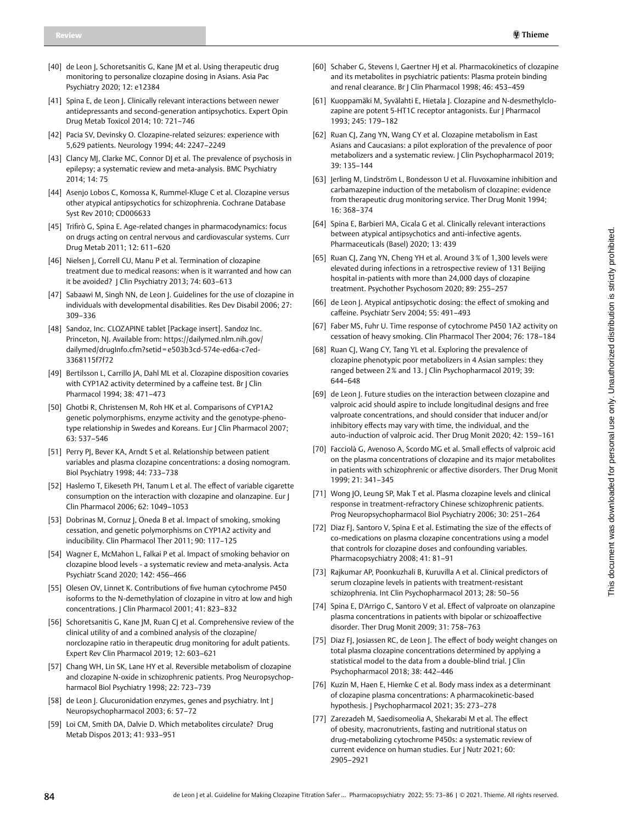- [40] de Leon J, Schoretsanitis G, Kane JM et al. Using therapeutic drug monitoring to personalize clozapine dosing in Asians. Asia Pac Psychiatry 2020; 12: e12384
- [41] Spina E, de Leon J. Clinically relevant interactions between newer antidepressants and second-generation antipsychotics. Expert Opin Drug Metab Toxicol 2014; 10: 721–746
- [42] Pacia SV, Devinsky O. Clozapine-related seizures: experience with 5,629 patients. Neurology 1994; 44: 2247–2249
- [43] Clancy MJ, Clarke MC, Connor DJ et al. The prevalence of psychosis in epilepsy; a systematic review and meta-analysis. BMC Psychiatry 2014; 14: 75
- [44] Asenjo Lobos C, Komossa K, Rummel-Kluge C et al. Clozapine versus other atypical antipsychotics for schizophrenia. Cochrane Database Syst Rev 2010; CD006633
- [45] Trifirò G, Spina E. Age-related changes in pharmacodynamics: focus on drugs acting on central nervous and cardiovascular systems. Curr Drug Metab 2011; 12: 611–620
- [46] Nielsen J, Correll CU, Manu P et al. Termination of clozapine treatment due to medical reasons: when is it warranted and how can it be avoided? J Clin Psychiatry 2013; 74: 603–613
- [47] Sabaawi M, Singh NN, de Leon J. Guidelines for the use of clozapine in individuals with developmental disabilities. Res Dev Disabil 2006; 27: 309–336
- [48] Sandoz, Inc. CLOZAPINE tablet [Package insert]. Sandoz Inc. Princeton, NJ. Available from: [https://dailymed.nlm.nih.gov/](https://dailymed.nlm.nih.gov/dailymed/drugInfo.cfm?setid=e503b3cd-574e-ed6a-c7ed-3368115f7f72) [dailymed/drugInfo.cfm?setid](https://dailymed.nlm.nih.gov/dailymed/drugInfo.cfm?setid=e503b3cd-574e-ed6a-c7ed-3368115f7f72) = e503b3cd-574e-ed6a-c7ed-[3368115f7f72](https://dailymed.nlm.nih.gov/dailymed/drugInfo.cfm?setid=e503b3cd-574e-ed6a-c7ed-3368115f7f72)
- [49] Bertilsson L, Carrillo JA, Dahl ML et al. Clozapine disposition covaries with CYP1A2 activity determined by a caffeine test. Br J Clin Pharmacol 1994; 38: 471–473
- [50] Ghotbi R, Christensen M, Roh HK et al. Comparisons of CYP1A2 genetic polymorphisms, enzyme activity and the genotype-phenotype relationship in Swedes and Koreans. Eur | Clin Pharmacol 2007; 63: 537–546
- [51] Perry PJ, Bever KA, Arndt S et al. Relationship between patient variables and plasma clozapine concentrations: a dosing nomogram. Biol Psychiatry 1998; 44: 733–738
- [52] Haslemo T, Eikeseth PH, Tanum L et al. The effect of variable cigarette consumption on the interaction with clozapine and olanzapine. Eur J Clin Pharmacol 2006; 62: 1049–1053
- [53] Dobrinas M, Cornuz J, Oneda B et al. Impact of smoking, smoking cessation, and genetic polymorphisms on CYP1A2 activity and inducibility. Clin Pharmacol Ther 2011; 90: 117–125
- [54] Wagner E, McMahon L, Falkai P et al. Impact of smoking behavior on clozapine blood levels - a systematic review and meta-analysis. Acta Psychiatr Scand 2020; 142: 456–466
- [55] Olesen OV, Linnet K. Contributions of five human cytochrome P450 isoforms to the N-demethylation of clozapine in vitro at low and high concentrations. J Clin Pharmacol 2001; 41: 823–832
- [56] Schoretsanitis G, Kane JM, Ruan CJ et al. Comprehensive review of the clinical utility of and a combined analysis of the clozapine/ norclozapine ratio in therapeutic drug monitoring for adult patients. Expert Rev Clin Pharmacol 2019; 12: 603–621
- [57] Chang WH, Lin SK, Lane HY et al. Reversible metabolism of clozapine and clozapine N-oxide in schizophrenic patients. Prog Neuropsychopharmacol Biol Psychiatry 1998; 22: 723–739
- [58] de Leon J. Glucuronidation enzymes, genes and psychiatry. Int J Neuropsychopharmacol 2003; 6: 57–72
- [59] Loi CM, Smith DA, Dalvie D. Which metabolites circulate? Drug Metab Dispos 2013; 41: 933–951
- [60] Schaber G, Stevens I, Gaertner HJ et al. Pharmacokinetics of clozapine and its metabolites in psychiatric patients: Plasma protein binding and renal clearance. Br J Clin Pharmacol 1998; 46: 453–459
- [61] Kuoppamäki M, Syvälahti E, Hietala J. Clozapine and N-desmethylclozapine are potent 5-HT1C receptor antagonists. Eur J Pharmacol 1993; 245: 179–182
- [62] Ruan CJ, Zang YN, Wang CY et al. Clozapine metabolism in East Asians and Caucasians: a pilot exploration of the prevalence of poor metabolizers and a systematic review. J Clin Psychopharmacol 2019; 39: 135–144
- [63] Jerling M, Lindström L, Bondesson U et al. Fluvoxamine inhibition and carbamazepine induction of the metabolism of clozapine: evidence from therapeutic drug monitoring service. Ther Drug Monit 1994; 16: 368–374
- [64] Spina E, Barbieri MA, Cicala G et al. Clinically relevant interactions between atypical antipsychotics and anti-infective agents. Pharmaceuticals (Basel) 2020; 13: 439
- [65] Ruan CJ, Zang YN, Cheng YH et al. Around 3% of 1,300 levels were elevated during infections in a retrospective review of 131 Beijing hospital in-patients with more than 24,000 days of clozapine treatment. Psychother Psychosom 2020; 89: 255–257
- [66] de Leon J. Atypical antipsychotic dosing: the effect of smoking and caffeine. Psychiatr Serv 2004; 55: 491–493
- [67] Faber MS, Fuhr U. Time response of cytochrome P450 1A2 activity on cessation of heavy smoking. Clin Pharmacol Ther 2004; 76: 178–184
- [68] Ruan CJ, Wang CY, Tang YL et al. Exploring the prevalence of clozapine phenotypic poor metabolizers in 4 Asian samples: they ranged between 2% and 13. | Clin Psychopharmacol 2019; 39: 644–648
- [69] de Leon J. Future studies on the interaction between clozapine and valproic acid should aspire to include longitudinal designs and free valproate concentrations, and should consider that inducer and/or inhibitory effects may vary with time, the individual, and the auto-induction of valproic acid. Ther Drug Monit 2020; 42: 159–161
- [70] Facciolà G, Avenoso A, Scordo MG et al. Small effects of valproic acid on the plasma concentrations of clozapine and its major metabolites in patients with schizophrenic or affective disorders. Ther Drug Monit 1999; 21: 341–345
- [71] Wong JO, Leung SP, Mak T et al. Plasma clozapine levels and clinical response in treatment-refractory Chinese schizophrenic patients. Prog Neuropsychopharmacol Biol Psychiatry 2006; 30: 251–264
- [72] Diaz FJ, Santoro V, Spina E et al. Estimating the size of the effects of co-medications on plasma clozapine concentrations using a model that controls for clozapine doses and confounding variables. Pharmacopsychiatry 2008; 41: 81–91
- [73] Rajkumar AP, Poonkuzhali B, Kuruvilla A et al. Clinical predictors of serum clozapine levels in patients with treatment-resistant schizophrenia. Int Clin Psychopharmacol 2013; 28: 50–56
- [74] Spina E, D'Arrigo C, Santoro V et al. Effect of valproate on olanzapine plasma concentrations in patients with bipolar or schizoaffective disorder. Ther Drug Monit 2009; 31: 758–763
- [75] Diaz FJ, Josiassen RC, de Leon J. The effect of body weight changes on total plasma clozapine concentrations determined by applying a statistical model to the data from a double-blind trial. J Clin Psychopharmacol 2018; 38: 442–446
- [76] Kuzin M, Haen E, Hiemke C et al. Body mass index as a determinant of clozapine plasma concentrations: A pharmacokinetic-based hypothesis. J Psychopharmacol 2021; 35: 273–278
- [77] Zarezadeh M, Saedisomeolia A, Shekarabi M et al. The effect of obesity, macronutrients, fasting and nutritional status on drug-metabolizing cytochrome P450s: a systematic review of current evidence on human studies. Eur J Nutr 2021; 60: 2905–2921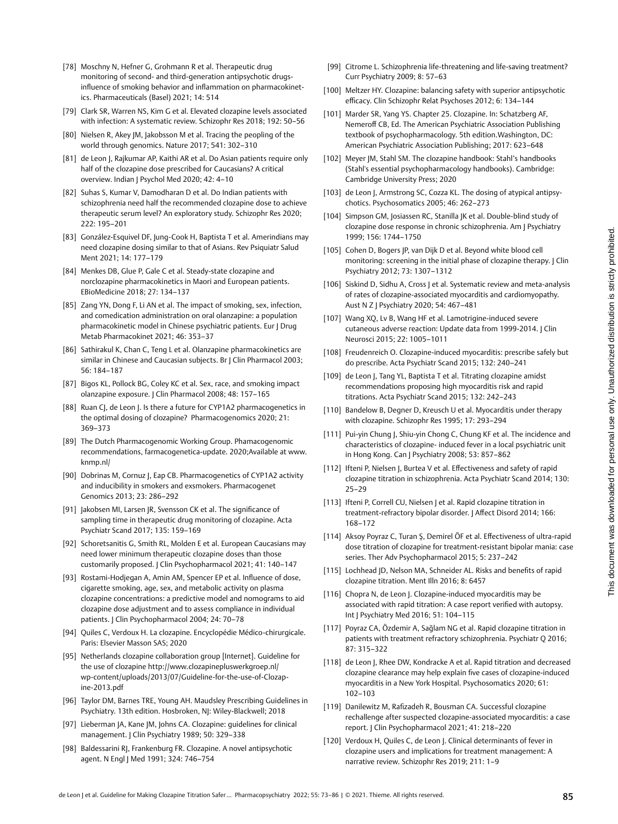- [78] Moschny N, Hefner G, Grohmann R et al. Therapeutic drug monitoring of second- and third-generation antipsychotic drugsinfluence of smoking behavior and inflammation on pharmacokinetics. Pharmaceuticals (Basel) 2021; 14: 514
- [79] Clark SR, Warren NS, Kim G et al. Elevated clozapine levels associated with infection: A systematic review. Schizophr Res 2018; 192: 50–56
- [80] Nielsen R, Akey JM, Jakobsson M et al. Tracing the peopling of the world through genomics. Nature 2017; 541: 302–310
- [81] de Leon J, Rajkumar AP, Kaithi AR et al. Do Asian patients require only half of the clozapine dose prescribed for Caucasians? A critical overview. Indian J Psychol Med 2020; 42: 4–10
- [82] Suhas S, Kumar V, Damodharan D et al. Do Indian patients with schizophrenia need half the recommended clozapine dose to achieve therapeutic serum level? An exploratory study. Schizophr Res 2020; 222: 195–201
- [83] González-Esquivel DF, Jung-Cook H, Baptista T et al. Amerindians may need clozapine dosing similar to that of Asians. Rev Psiquiatr Salud Ment 2021; 14: 177–179
- [84] Menkes DB, Glue P, Gale C et al. Steady-state clozapine and norclozapine pharmacokinetics in Maori and European patients. EBioMedicine 2018; 27: 134–137
- [85] Zang YN, Dong F, Li AN et al. The impact of smoking, sex, infection, and comedication administration on oral olanzapine: a population pharmacokinetic model in Chinese psychiatric patients. Eur J Drug Metab Pharmacokinet 2021; 46: 353–37
- [86] Sathirakul K, Chan C, Teng L et al. Olanzapine pharmacokinetics are similar in Chinese and Caucasian subjects. Br J Clin Pharmacol 2003; 56: 184–187
- [87] Bigos KL, Pollock BG, Coley KC et al. Sex, race, and smoking impact olanzapine exposure. J Clin Pharmacol 2008; 48: 157–165
- [88] Ruan CJ, de Leon J. Is there a future for CYP1A2 pharmacogenetics in the optimal dosing of clozapine? Pharmacogenomics 2020; 21: 369–373
- [89] The Dutch Pharmacogenomic Working Group. Phamacogenomic recommendations, farmacogenetica-update. 2020;Available at [www.](http://www.knmp.nl/) [knmp.nl/](http://www.knmp.nl/)
- [90] Dobrinas M, Cornuz J, Eap CB. Pharmacogenetics of CYP1A2 activity and inducibility in smokers and exsmokers. Pharmacogenet Genomics 2013; 23: 286–292
- [91] Jakobsen MI, Larsen JR, Svensson CK et al. The significance of sampling time in therapeutic drug monitoring of clozapine. Acta Psychiatr Scand 2017; 135: 159–169
- [92] Schoretsanitis G, Smith RL, Molden E et al. European Caucasians may need lower minimum therapeutic clozapine doses than those customarily proposed. J Clin Psychopharmacol 2021; 41: 140–147
- [93] Rostami-Hodjegan A, Amin AM, Spencer EP et al. Influence of dose, cigarette smoking, age, sex, and metabolic activity on plasma clozapine concentrations: a predictive model and nomograms to aid clozapine dose adjustment and to assess compliance in individual patients. J Clin Psychopharmacol 2004; 24: 70–78
- [94] Quiles C, Verdoux H. La clozapine. Encyclopédie Médico-chirurgicale. Paris: Elsevier Masson SAS; 2020
- [95] Netherlands clozapine collaboration group [Internet]. Guideline for the use of clozapine [http://www.clozapinepluswerkgroep.nl/](http://www.clozapinepluswerkgroep.nl/wp-content/uploads/2013/07/Guideline-for-the-use-of-Clozapine-2013.pdf) [wp-content/uploads/2013/07/Guideline-for-the-use-of-Clozap](http://www.clozapinepluswerkgroep.nl/wp-content/uploads/2013/07/Guideline-for-the-use-of-Clozapine-2013.pdf)[ine-2013.pdf](http://www.clozapinepluswerkgroep.nl/wp-content/uploads/2013/07/Guideline-for-the-use-of-Clozapine-2013.pdf)
- [96] Taylor DM, Barnes TRE, Young AH. Maudsley Prescribing Guidelines in Psychiatry. 13th edition. Hosbroken, NJ: Wiley-Blackwell; 2018
- [97] Lieberman JA, Kane JM, Johns CA. Clozapine: guidelines for clinical management. J Clin Psychiatry 1989; 50: 329–338
- [98] Baldessarini RJ, Frankenburg FR. Clozapine. A novel antipsychotic agent. N Engl J Med 1991; 324: 746–754
- [99] Citrome L. Schizophrenia life-threatening and life-saving treatment? Curr Psychiatry 2009; 8: 57–63
- [100] Meltzer HY. Clozapine: balancing safety with superior antipsychotic efficacy. Clin Schizophr Relat Psychoses 2012; 6: 134–144
- [101] Marder SR, Yang YS. Chapter 25. Clozapine. In: Schatzberg AF, Nemeroff CB, Ed. The American Psychiatric Association Publishing textbook of psychopharmacology. 5th edition.Washington, DC: American Psychiatric Association Publishing; 2017: 623–648
- [102] Meyer JM, Stahl SM. The clozapine handbook: Stahl's handbooks (Stahl's essential psychopharmacology handbooks). Cambridge: Cambridge University Press; 2020
- [103] de Leon J, Armstrong SC, Cozza KL. The dosing of atypical antipsychotics. Psychosomatics 2005; 46: 262–273
- [104] Simpson GM, Josiassen RC, Stanilla JK et al. Double-blind study of clozapine dose response in chronic schizophrenia. Am J Psychiatry 1999; 156: 1744–1750
- [105] Cohen D, Bogers JP, van Dijk D et al. Beyond white blood cell monitoring: screening in the initial phase of clozapine therapy. | Clin Psychiatry 2012; 73: 1307–1312
- [106] Siskind D, Sidhu A, Cross J et al. Systematic review and meta-analysis of rates of clozapine-associated myocarditis and cardiomyopathy. Aust N Z J Psychiatry 2020; 54: 467–481
- [107] Wang XQ, Lv B, Wang HF et al. Lamotrigine-induced severe cutaneous adverse reaction: Update data from 1999-2014. J Clin Neurosci 2015; 22: 1005–1011
- [108] Freudenreich O. Clozapine-induced myocarditis: prescribe safely but do prescribe. Acta Psychiatr Scand 2015; 132: 240–241
- [109] de Leon J, Tang YL, Baptista T et al. Titrating clozapine amidst recommendations proposing high myocarditis risk and rapid titrations. Acta Psychiatr Scand 2015; 132: 242–243
- [110] Bandelow B, Degner D, Kreusch U et al. Myocarditis under therapy with clozapine. Schizophr Res 1995; 17: 293–294
- [111] Pui-yin Chung J, Shiu-yin Chong C, Chung KF et al. The incidence and characteristics of clozapine- induced fever in a local psychiatric unit in Hong Kong. Can J Psychiatry 2008; 53: 857–862
- [112] Ifteni P, Nielsen J, Burtea V et al. Effectiveness and safety of rapid clozapine titration in schizophrenia. Acta Psychiatr Scand 2014; 130: 25–29
- [113] Ifteni P, Correll CU, Nielsen J et al. Rapid clozapine titration in treatment-refractory bipolar disorder. J Affect Disord 2014; 166: 168–172
- [114] Aksoy Poyraz C, Turan Ş, Demirel ÖF et al. Effectiveness of ultra-rapid dose titration of clozapine for treatment-resistant bipolar mania: case series. Ther Adv Psychopharmacol 2015; 5: 237–242
- [115] Lochhead JD, Nelson MA, Schneider AL. Risks and benefits of rapid clozapine titration. Ment Illn 2016; 8: 6457
- [116] Chopra N, de Leon J. Clozapine-induced myocarditis may be associated with rapid titration: A case report verified with autopsy. Int J Psychiatry Med 2016; 51: 104–115
- [117] Poyraz CA, Özdemir A, Sağlam NG et al. Rapid clozapine titration in patients with treatment refractory schizophrenia. Psychiatr Q 2016; 87: 315–322
- [118] de Leon J, Rhee DW, Kondracke A et al. Rapid titration and decreased clozapine clearance may help explain five cases of clozapine-induced myocarditis in a New York Hospital. Psychosomatics 2020; 61: 102–103
- [119] Danilewitz M, Rafizadeh R, Bousman CA. Successful clozapine rechallenge after suspected clozapine-associated myocarditis: a case report. J Clin Psychopharmacol 2021; 41: 218–220
- [120] Verdoux H, Quiles C, de Leon J. Clinical determinants of fever in clozapine users and implications for treatment management: A narrative review. Schizophr Res 2019; 211: 1–9